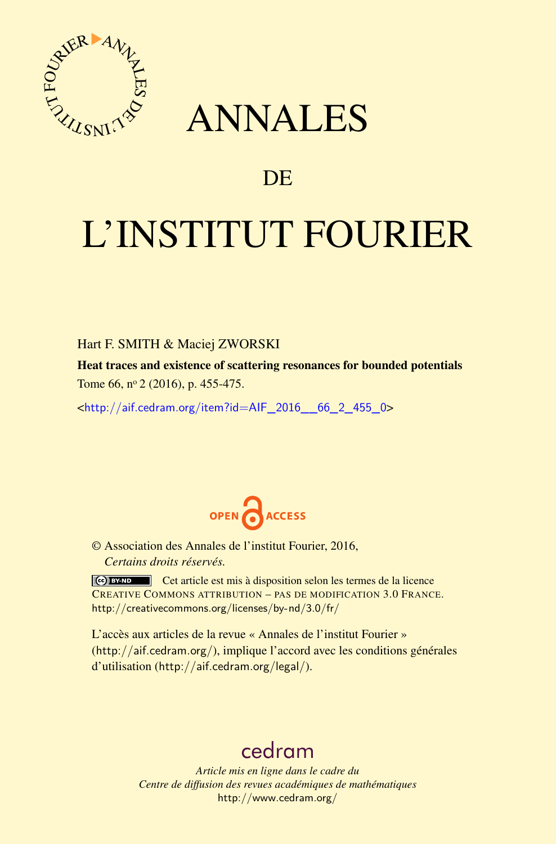

## ANNALES

### **DE**

# L'INSTITUT FOURIER

#### Hart F. SMITH & Maciej ZWORSKI

Heat traces and existence of scattering resonances for bounded potentials Tome 66, nº 2 (2016), p. 455-475.

<[http://aif.cedram.org/item?id=AIF\\_2016\\_\\_66\\_2\\_455\\_0](http://aif.cedram.org/item?id=AIF_2016__66_2_455_0)>



© Association des Annales de l'institut Fourier, 2016, *Certains droits réservés.*

Cet article est mis à disposition selon les termes de la licence CREATIVE COMMONS ATTRIBUTION – PAS DE MODIFICATION 3.0 FRANCE. <http://creativecommons.org/licenses/by-nd/3.0/fr/>

L'accès aux articles de la revue « Annales de l'institut Fourier » (<http://aif.cedram.org/>), implique l'accord avec les conditions générales d'utilisation (<http://aif.cedram.org/legal/>).

## [cedram](http://www.cedram.org/)

*Article mis en ligne dans le cadre du Centre de diffusion des revues académiques de mathématiques* <http://www.cedram.org/>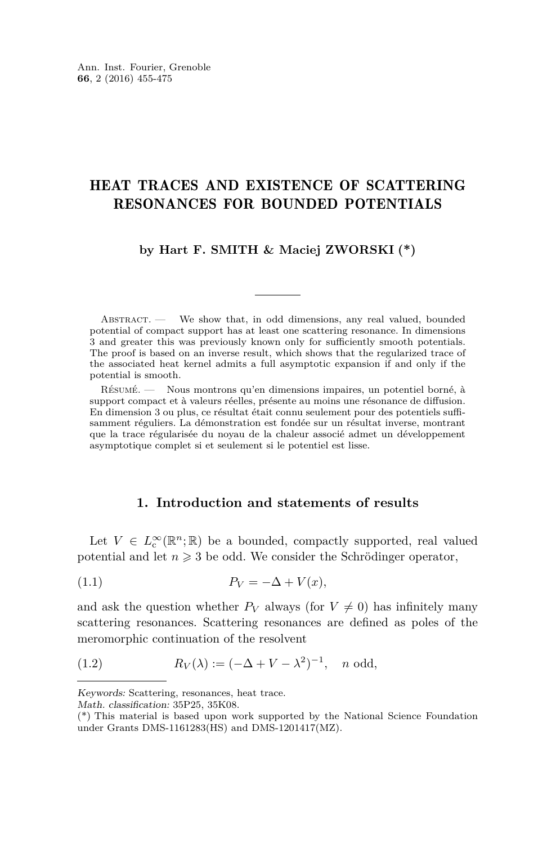#### HEAT TRACES AND EXISTENCE OF SCATTERING RESONANCES FOR BOUNDED POTENTIALS

**by Hart F. SMITH & Maciej ZWORSKI (\*)**

ABSTRACT. — We show that, in odd dimensions, any real valued, bounded potential of compact support has at least one scattering resonance. In dimensions 3 and greater this was previously known only for sufficiently smooth potentials. The proof is based on an inverse result, which shows that the regularized trace of the associated heat kernel admits a full asymptotic expansion if and only if the potential is smooth.

Résumé. — Nous montrons qu'en dimensions impaires, un potentiel borné, à support compact et à valeurs réelles, présente au moins une résonance de diffusion. En dimension 3 ou plus, ce résultat était connu seulement pour des potentiels suffisamment réguliers. La démonstration est fondée sur un résultat inverse, montrant que la trace régularisée du noyau de la chaleur associé admet un développement asymptotique complet si et seulement si le potentiel est lisse.

#### <span id="page-1-1"></span>**1. Introduction and statements of results**

Let  $V \in L^{\infty}_c(\mathbb{R}^n;\mathbb{R})$  be a bounded, compactly supported, real valued potential and let  $n \geq 3$  be odd. We consider the Schrödinger operator,

$$
(1.1) \t\t P_V = -\Delta + V(x),
$$

and ask the question whether  $P_V$  always (for  $V \neq 0$ ) has infinitely many scattering resonances. Scattering resonances are defined as poles of the meromorphic continuation of the resolvent

<span id="page-1-0"></span>(1.2) 
$$
R_V(\lambda) := (-\Delta + V - \lambda^2)^{-1}, \quad n \text{ odd},
$$

Keywords: Scattering, resonances, heat trace.

Math. classification: 35P25, 35K08.

<sup>(\*)</sup> This material is based upon work supported by the National Science Foundation under Grants DMS-1161283(HS) and DMS-1201417(MZ).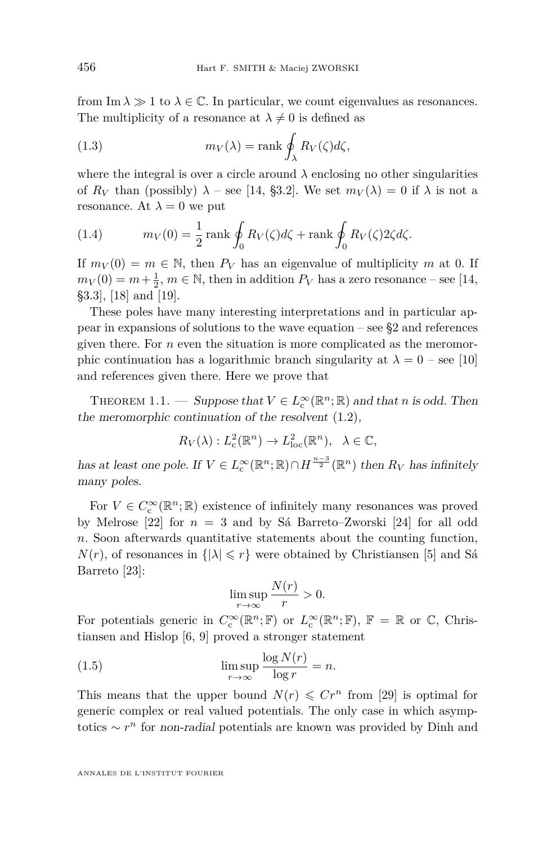from Im  $\lambda \gg 1$  to  $\lambda \in \mathbb{C}$ . In particular, we count eigenvalues as resonances. The multiplicity of a resonance at  $\lambda \neq 0$  is defined as

<span id="page-2-0"></span>(1.3) 
$$
m_V(\lambda) = \text{rank} \oint_{\lambda} R_V(\zeta) d\zeta,
$$

where the integral is over a circle around  $\lambda$  enclosing no other singularities of  $R_V$  than (possibly)  $\lambda$  – see [\[14,](#page-20-0) §3.2]. We set  $m_V(\lambda) = 0$  if  $\lambda$  is not a resonance. At  $\lambda = 0$  we put

<span id="page-2-1"></span>(1.4) 
$$
m_V(0) = \frac{1}{2} \operatorname{rank} \oint_0 R_V(\zeta) d\zeta + \operatorname{rank} \oint_0 R_V(\zeta) 2\zeta d\zeta.
$$

If  $m_V(0) = m \in \mathbb{N}$ , then  $P_V$  has an eigenvalue of multiplicity m at 0. If  $m_V(0) = m + \frac{1}{2}$ ,  $m \in \mathbb{N}$ , then in addition  $P_V$  has a zero resonance – see [\[14,](#page-20-0) §3.3], [\[18\]](#page-21-0) and [\[19\]](#page-21-1).

These poles have many interesting interpretations and in particular appear in expansions of solutions to the wave equation – see  $\S$ 2 and references given there. For *n* even the situation is more complicated as the meromorphic continuation has a logarithmic branch singularity at  $\lambda = 0$  – see [\[10\]](#page-20-1) and references given there. Here we prove that

<span id="page-2-2"></span>THEOREM 1.1. — Suppose that  $V \in L^{\infty}_c(\mathbb{R}^n;\mathbb{R})$  and that *n* is odd. Then the meromorphic continuation of the resolvent [\(1.2\)](#page-1-0),

$$
R_V(\lambda): L^2_c(\mathbb{R}^n) \to L^2_{loc}(\mathbb{R}^n), \quad \lambda \in \mathbb{C},
$$

has at least one pole. If  $V \in L^{\infty}_{c}(\mathbb{R}^{n}; \mathbb{R}) \cap H^{\frac{n-3}{2}}(\mathbb{R}^{n})$  then  $R_{V}$  has infinitely many poles.

For  $V \in C^{\infty}_c(\mathbb{R}^n;\mathbb{R})$  existence of infinitely many resonances was proved by Melrose [\[22\]](#page-21-2) for  $n = 3$  and by Sá Barreto–Zworski [\[24\]](#page-21-3) for all odd *n*. Soon afterwards quantitative statements about the counting function,  $N(r)$ , of resonances in  $\{|\lambda| \leq r\}$  were obtained by Christiansen [\[5\]](#page-20-2) and Sá Barreto [\[23\]](#page-21-4):

<span id="page-2-3"></span>
$$
\limsup_{r \to \infty} \frac{N(r)}{r} > 0.
$$

For potentials generic in  $C_c^{\infty}(\mathbb{R}^n;\mathbb{F})$  or  $L_c^{\infty}(\mathbb{R}^n;\mathbb{F})$ ,  $\mathbb{F} = \mathbb{R}$  or  $\mathbb{C}$ , Christiansen and Hislop [\[6,](#page-20-3) [9\]](#page-20-4) proved a stronger statement

(1.5) 
$$
\limsup_{r \to \infty} \frac{\log N(r)}{\log r} = n.
$$

This means that the upper bound  $N(r) \leqslant Cr^n$  from [\[29\]](#page-21-5) is optimal for generic complex or real valued potentials. The only case in which asymptotics ∼ *r <sup>n</sup>* for non-radial potentials are known was provided by Dinh and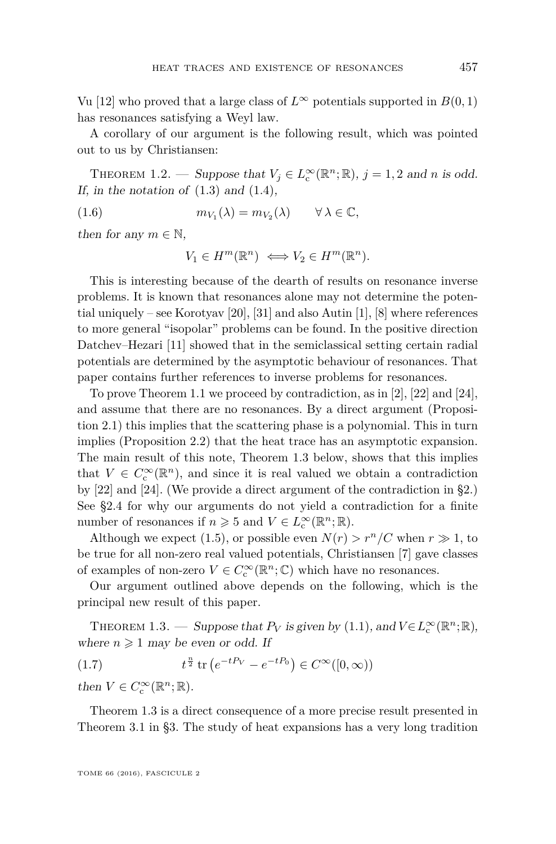Vu [\[12\]](#page-20-5) who proved that a large class of  $L^{\infty}$  potentials supported in  $B(0,1)$ has resonances satisfying a Weyl law.

A corollary of our argument is the following result, which was pointed out to us by Christiansen:

<span id="page-3-1"></span>THEOREM 1.2. — Suppose that  $V_j \in L_c^{\infty}(\mathbb{R}^n; \mathbb{R})$ ,  $j = 1, 2$  and *n* is odd. If, in the notation of  $(1.3)$  and  $(1.4)$ ,

(1.6) 
$$
m_{V_1}(\lambda) = m_{V_2}(\lambda) \qquad \forall \lambda \in \mathbb{C},
$$

then for any  $m \in \mathbb{N}$ ,

<span id="page-3-2"></span>
$$
V_1 \in H^m(\mathbb{R}^n) \iff V_2 \in H^m(\mathbb{R}^n).
$$

This is interesting because of the dearth of results on resonance inverse problems. It is known that resonances alone may not determine the potential uniquely – see Korotyav [\[20\]](#page-21-6), [\[31\]](#page-21-7) and also Autin [\[1\]](#page-20-6), [\[8\]](#page-20-7) where references to more general "isopolar" problems can be found. In the positive direction Datchev–Hezari [\[11\]](#page-20-8) showed that in the semiclassical setting certain radial potentials are determined by the asymptotic behaviour of resonances. That paper contains further references to inverse problems for resonances.

To prove Theorem [1.1](#page-2-2) we proceed by contradiction, as in [\[2\]](#page-20-9), [\[22\]](#page-21-2) and [\[24\]](#page-21-3), and assume that there are no resonances. By a direct argument (Proposition [2.1\)](#page-5-0) this implies that the scattering phase is a polynomial. This in turn implies (Proposition [2.2\)](#page-6-0) that the heat trace has an asymptotic expansion. The main result of this note, Theorem [1.3](#page-3-0) below, shows that this implies that  $V \in C_c^{\infty}(\mathbb{R}^n)$ , and since it is real valued we obtain a contradiction by [\[22\]](#page-21-2) and [\[24\]](#page-21-3). (We provide a direct argument of the contradiction in [§2.](#page-4-0)) See [§2.4](#page-9-0) for why our arguments do not yield a contradiction for a finite number of resonances if  $n \geq 5$  and  $V \in L^{\infty}_c(\mathbb{R}^n;\mathbb{R})$ .

Although we expect [\(1.5\)](#page-2-3), or possible even  $N(r) > r^n/C$  when  $r \gg 1$ , to be true for all non-zero real valued potentials, Christiansen [\[7\]](#page-20-10) gave classes of examples of non-zero  $V \in C^{\infty}_c(\mathbb{R}^n;\mathbb{C})$  which have no resonances.

Our argument outlined above depends on the following, which is the principal new result of this paper.

<span id="page-3-0"></span>THEOREM 1.3. — Suppose that  $P_V$  is given by [\(1.1\)](#page-1-1), and  $V \in L_c^{\infty}(\mathbb{R}^n;\mathbb{R})$ , where  $n \geqslant 1$  may be even or odd. If

(1.7) 
$$
t^{\frac{n}{2}} \operatorname{tr} \left( e^{-tP_V} - e^{-tP_0} \right) \in C^{\infty}([0, \infty))
$$

then  $V \in C_c^{\infty}(\mathbb{R}^n;\mathbb{R})$ .

Theorem [1.3](#page-3-0) is a direct consequence of a more precise result presented in Theorem [3.1](#page-10-0) in [§3.](#page-10-1) The study of heat expansions has a very long tradition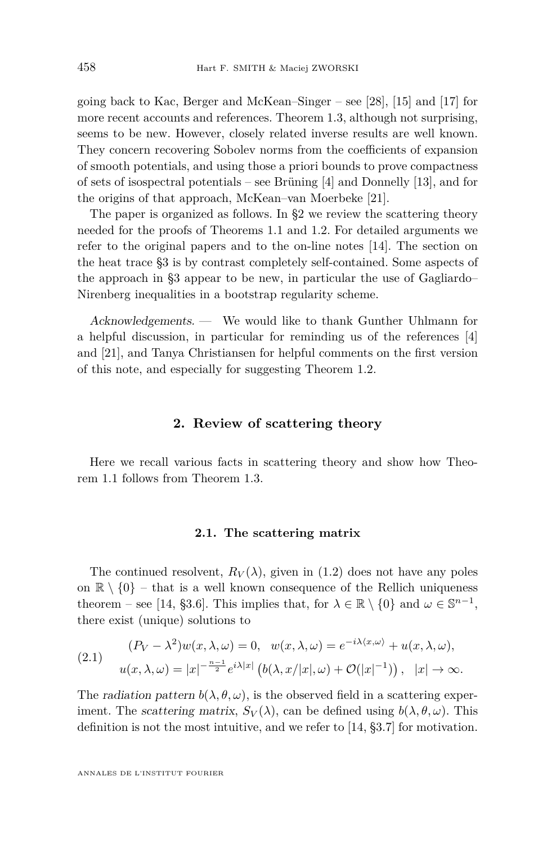going back to Kac, Berger and McKean–Singer – see [\[28\]](#page-21-8), [\[15\]](#page-21-9) and [\[17\]](#page-21-10) for more recent accounts and references. Theorem [1.3,](#page-3-0) although not surprising, seems to be new. However, closely related inverse results are well known. They concern recovering Sobolev norms from the coefficients of expansion of smooth potentials, and using those a priori bounds to prove compactness of sets of isospectral potentials – see Brüning [\[4\]](#page-20-11) and Donnelly [\[13\]](#page-20-12), and for the origins of that approach, McKean–van Moerbeke [\[21\]](#page-21-11).

The paper is organized as follows. In [§2](#page-4-0) we review the scattering theory needed for the proofs of Theorems [1.1](#page-2-2) and [1.2.](#page-3-1) For detailed arguments we refer to the original papers and to the on-line notes [\[14\]](#page-20-0). The section on the heat trace [§3](#page-10-1) is by contrast completely self-contained. Some aspects of the approach in [§3](#page-10-1) appear to be new, in particular the use of Gagliardo– Nirenberg inequalities in a bootstrap regularity scheme.

Acknowledgements. — We would like to thank Gunther Uhlmann for a helpful discussion, in particular for reminding us of the references [\[4\]](#page-20-11) and [\[21\]](#page-21-11), and Tanya Christiansen for helpful comments on the first version of this note, and especially for suggesting Theorem [1.2.](#page-3-1)

#### **2. Review of scattering theory**

<span id="page-4-0"></span>Here we recall various facts in scattering theory and show how Theorem [1.1](#page-2-2) follows from Theorem [1.3.](#page-3-0)

#### **2.1. The scattering matrix**

The continued resolvent,  $R_V(\lambda)$ , given in [\(1.2\)](#page-1-0) does not have any poles on  $\mathbb{R} \setminus \{0\}$  – that is a well known consequence of the Rellich uniqueness theorem – see [\[14,](#page-20-0) §3.6]. This implies that, for  $\lambda \in \mathbb{R} \setminus \{0\}$  and  $\omega \in \mathbb{S}^{n-1}$ , there exist (unique) solutions to

(2.1) 
$$
(P_V - \lambda^2)w(x, \lambda, \omega) = 0, \quad w(x, \lambda, \omega) = e^{-i\lambda \langle x, \omega \rangle} + u(x, \lambda, \omega),
$$

$$
u(x, \lambda, \omega) = |x|^{-\frac{n-1}{2}} e^{i\lambda |x|} \left( b(\lambda, x/|x|, \omega) + \mathcal{O}(|x|^{-1}) \right), \quad |x| \to \infty.
$$

The *radiation pattern*  $b(\lambda, \theta, \omega)$ , is the observed field in a scattering experiment. The *scattering matrix,*  $S_V(\lambda)$ , can be defined using  $b(\lambda, \theta, \omega)$ . This definition is not the most intuitive, and we refer to [\[14,](#page-20-0) §3.7] for motivation.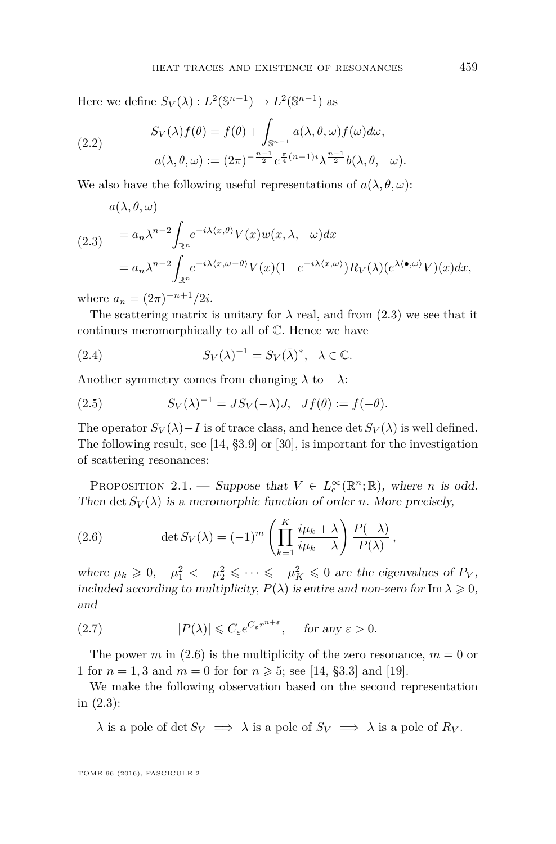Here we define  $S_V(\lambda) : L^2(\mathbb{S}^{n-1}) \to L^2(\mathbb{S}^{n-1})$  as

(2.2) 
$$
S_V(\lambda) f(\theta) = f(\theta) + \int_{\mathbb{S}^{n-1}} a(\lambda, \theta, \omega) f(\omega) d\omega,
$$

$$
a(\lambda, \theta, \omega) := (2\pi)^{-\frac{n-1}{2}} e^{\frac{\pi}{4}(n-1)i} \lambda^{\frac{n-1}{2}} b(\lambda, \theta, -\omega).
$$

We also have the following useful representations of  $a(\lambda, \theta, \omega)$ :

<span id="page-5-1"></span>
$$
a(\lambda, \theta, \omega)
$$
  
\n
$$
(2.3) \quad = a_n \lambda^{n-2} \int_{\mathbb{R}^n} e^{-i\lambda \langle x, \theta \rangle} V(x) w(x, \lambda, -\omega) dx
$$
  
\n
$$
= a_n \lambda^{n-2} \int_{\mathbb{R}^n} e^{-i\lambda \langle x, \omega - \theta \rangle} V(x) (1 - e^{-i\lambda \langle x, \omega \rangle}) R_V(\lambda) (e^{\lambda \langle \bullet, \omega \rangle} V)(x) dx,
$$

where  $a_n = (2\pi)^{-n+1}/2i$ .

The scattering matrix is unitary for  $\lambda$  real, and from [\(2.3\)](#page-5-1) we see that it continues meromorphically to all of C. Hence we have

<span id="page-5-3"></span>(2.4) 
$$
S_V(\lambda)^{-1} = S_V(\bar{\lambda})^*, \quad \lambda \in \mathbb{C}.
$$

Another symmetry comes from changing  $\lambda$  to  $-\lambda$ :

(2.5) 
$$
S_V(\lambda)^{-1} = JS_V(-\lambda)J, \quad Jf(\theta) := f(-\theta).
$$

The operator  $S_V(\lambda) - I$  is of trace class, and hence det  $S_V(\lambda)$  is well defined. The following result, see [\[14,](#page-20-0) §3.9] or [\[30\]](#page-21-12), is important for the investigation of scattering resonances:

<span id="page-5-0"></span>PROPOSITION 2.1. — Suppose that  $V \in L^{\infty}_c(\mathbb{R}^n;\mathbb{R})$ , where *n* is odd. Then det  $S_V(\lambda)$  is a meromorphic function of order *n*. More precisely,

<span id="page-5-2"></span>(2.6) 
$$
\det S_V(\lambda) = (-1)^m \left( \prod_{k=1}^K \frac{i\mu_k + \lambda}{i\mu_k - \lambda} \right) \frac{P(-\lambda)}{P(\lambda)},
$$

where  $\mu_k \geq 0$ ,  $-\mu_1^2 < -\mu_2^2 \leq \cdots \leq -\mu_K^2 \leq 0$  are the eigenvalues of  $P_V$ , included according to multiplicity,  $P(\lambda)$  is entire and non-zero for Im  $\lambda \geq 0$ , and

(2.7) 
$$
|P(\lambda)| \leqslant C_{\varepsilon} e^{C_{\varepsilon} r^{n+\varepsilon}}, \quad \text{for any } \varepsilon > 0.
$$

The power *m* in [\(2.6\)](#page-5-2) is the multiplicity of the zero resonance,  $m = 0$  or 1 for  $n = 1, 3$  and  $m = 0$  for for  $n \ge 5$ ; see [\[14,](#page-20-0) §3.3] and [\[19\]](#page-21-1).

We make the following observation based on the second representation in [\(2.3\)](#page-5-1):

 $\lambda$  is a pole of det  $S_V \implies \lambda$  is a pole of  $S_V \implies \lambda$  is a pole of  $R_V$ .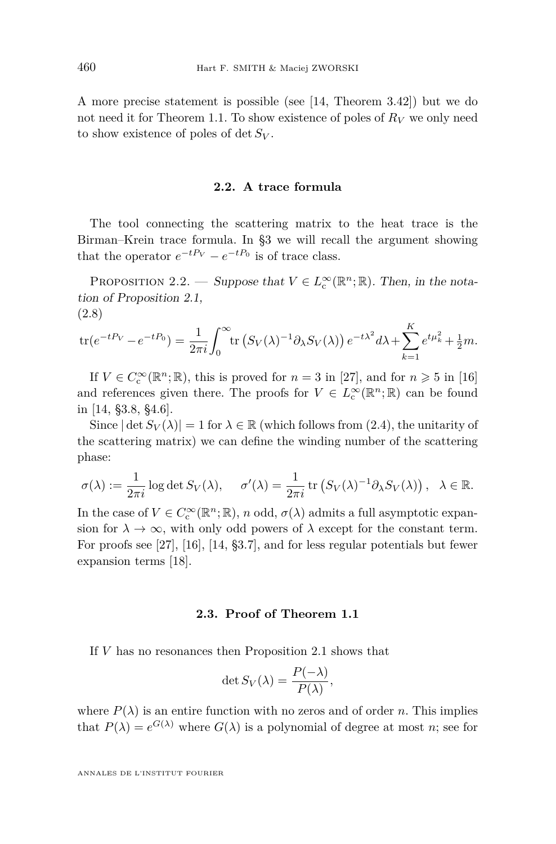A more precise statement is possible (see [\[14,](#page-20-0) Theorem 3.42]) but we do not need it for Theorem [1.1.](#page-2-2) To show existence of poles of  $R_V$  we only need to show existence of poles of det *S<sup>V</sup>* .

#### **2.2. A trace formula**

The tool connecting the scattering matrix to the heat trace is the Birman–Krein trace formula. In [§3](#page-10-1) we will recall the argument showing that the operator  $e^{-tP_V} - e^{-tP_0}$  is of trace class.

<span id="page-6-0"></span>PROPOSITION 2.2. — Suppose that  $V \in L^{\infty}_c(\mathbb{R}^n;\mathbb{R})$ . Then, in the notation of Proposition [2.1,](#page-5-0) (2.8)

<span id="page-6-1"></span>
$$
\text{tr}(e^{-tP_V}-e^{-tP_0})=\frac{1}{2\pi i}\int_0^\infty \text{tr}\left(S_V(\lambda)^{-1}\partial_\lambda S_V(\lambda)\right)e^{-t\lambda^2}d\lambda+\sum_{k=1}^K e^{t\mu_k^2}+\frac{1}{2}m.
$$

If  $V \in C_c^{\infty}(\mathbb{R}^n;\mathbb{R})$ , this is proved for  $n = 3$  in [\[27\]](#page-21-13), and for  $n \geq 5$  in [\[16\]](#page-21-14) and references given there. The proofs for  $V \in L^{\infty}_{c}(\mathbb{R}^{n}; \mathbb{R})$  can be found in [\[14,](#page-20-0) §3.8, §4.6].

Since  $|\det S_V(\lambda)| = 1$  for  $\lambda \in \mathbb{R}$  (which follows from [\(2.4\)](#page-5-3), the unitarity of the scattering matrix) we can define the winding number of the scattering phase:

$$
\sigma(\lambda) := \frac{1}{2\pi i} \log \det S_V(\lambda), \quad \sigma'(\lambda) = \frac{1}{2\pi i} \operatorname{tr} \left( S_V(\lambda)^{-1} \partial_\lambda S_V(\lambda) \right), \quad \lambda \in \mathbb{R}.
$$

In the case of  $V \in C_c^{\infty}(\mathbb{R}^n;\mathbb{R})$ , *n* odd,  $\sigma(\lambda)$  admits a full asymptotic expansion for  $\lambda \to \infty$ , with only odd powers of  $\lambda$  except for the constant term. For proofs see [\[27\]](#page-21-13), [\[16\]](#page-21-14), [\[14,](#page-20-0) §3.7], and for less regular potentials but fewer expansion terms [\[18\]](#page-21-0).

#### **2.3. Proof of Theorem [1.1](#page-2-2)**

<span id="page-6-2"></span>If *V* has no resonances then Proposition [2.1](#page-5-0) shows that

$$
\det S_V(\lambda) = \frac{P(-\lambda)}{P(\lambda)},
$$

where  $P(\lambda)$  is an entire function with no zeros and of order *n*. This implies that  $P(\lambda) = e^{G(\lambda)}$  where  $G(\lambda)$  is a polynomial of degree at most *n*; see for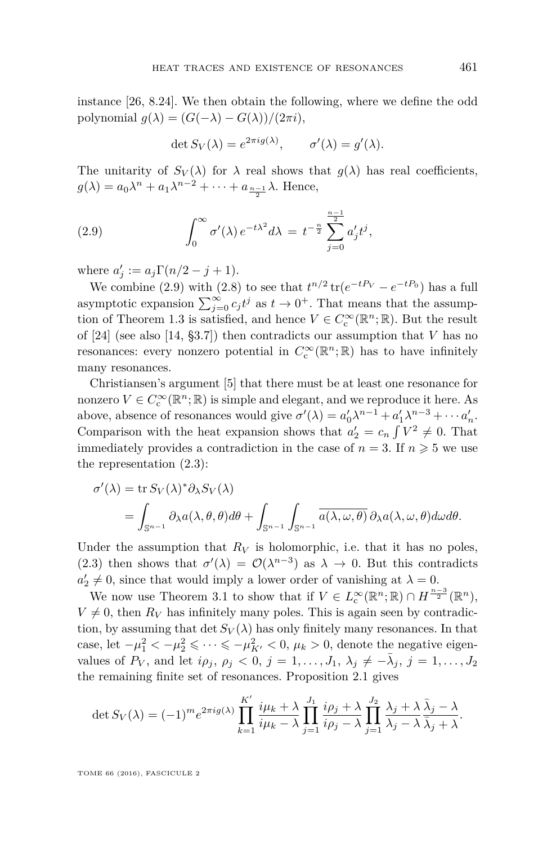instance [\[26,](#page-21-15) 8.24]. We then obtain the following, where we define the odd polynomial  $g(\lambda) = (G(-\lambda) - G(\lambda))/(2\pi i),$ 

<span id="page-7-0"></span>
$$
\det S_V(\lambda) = e^{2\pi i g(\lambda)}, \qquad \sigma'(\lambda) = g'(\lambda).
$$

The unitarity of  $S_V(\lambda)$  for  $\lambda$  real shows that  $g(\lambda)$  has real coefficients,  $g(\lambda) = a_0 \lambda^n + a_1 \lambda^{n-2} + \cdots + a_{\frac{n-1}{2}} \lambda$ . Hence,

(2.9) 
$$
\int_0^\infty \sigma'(\lambda) e^{-t\lambda^2} d\lambda = t^{-\frac{n}{2}} \sum_{j=0}^{\frac{n-1}{2}} a'_j t^j,
$$

where  $a'_{j} := a_{j}\Gamma(n/2 - j + 1)$ .

We combine [\(2.9\)](#page-7-0) with [\(2.8\)](#page-6-1) to see that  $t^{n/2}$  tr( $e^{-tP_V} - e^{-tP_0}$ ) has a full asymptotic expansion  $\sum_{j=0}^{\infty} c_j t^j$  as  $t \to 0^+$ . That means that the assump-tion of Theorem [1.3](#page-3-0) is satisfied, and hence  $V \in C_c^{\infty}(\mathbb{R}^n;\mathbb{R})$ . But the result of [\[24\]](#page-21-3) (see also [\[14,](#page-20-0) §3.7]) then contradicts our assumption that *V* has no resonances: every nonzero potential in  $C_c^{\infty}(\mathbb{R}^n;\mathbb{R})$  has to have infinitely many resonances.

Christiansen's argument [\[5\]](#page-20-2) that there must be at least one resonance for nonzero  $V \in C^{\infty}_{\text{c}}(\mathbb{R}^n;\mathbb{R})$  is simple and elegant, and we reproduce it here. As above, absence of resonances would give  $\sigma'(\lambda) = a'_0 \lambda^{n-1} + a'_1 \lambda^{n-3} + \cdots + a'_n$ . Comparison with the heat expansion shows that  $a'_2 = c_n \int V^2 \neq 0$ . That immediately provides a contradiction in the case of  $n = 3$ . If  $n \geq 5$  we use the representation [\(2.3\)](#page-5-1):

$$
\sigma'(\lambda) = \text{tr}\, S_V(\lambda)^* \partial_{\lambda} S_V(\lambda)
$$
  
= 
$$
\int_{\mathbb{S}^{n-1}} \partial_{\lambda} a(\lambda, \theta, \theta) d\theta + \int_{\mathbb{S}^{n-1}} \int_{\mathbb{S}^{n-1}} \overline{a(\lambda, \omega, \theta)} \partial_{\lambda} a(\lambda, \omega, \theta) d\omega d\theta.
$$

Under the assumption that  $R_V$  is holomorphic, i.e. that it has no poles, [\(2.3\)](#page-5-1) then shows that  $\sigma'(\lambda) = O(\lambda^{n-3})$  as  $\lambda \to 0$ . But this contradicts  $a'_2 \neq 0$ , since that would imply a lower order of vanishing at  $\lambda = 0$ .

We now use Theorem [3.1](#page-10-0) to show that if  $V \in L^{\infty}_{c}(\mathbb{R}^{n}; \mathbb{R}) \cap H^{\frac{n-3}{2}}(\mathbb{R}^{n}),$  $V \neq 0$ , then  $R_V$  has infinitely many poles. This is again seen by contradiction, by assuming that det  $S_V(\lambda)$  has only finitely many resonances. In that case, let  $-\mu_1^2 < -\mu_2^2 \leq \cdots \leq -\mu_{K'}^2 < 0$ ,  $\mu_k > 0$ , denote the negative eigenvalues of  $P_V$ , and let  $i\rho_j$ ,  $\rho_j < 0$ ,  $j = 1, ..., J_1$ ,  $\lambda_j \neq -\bar{\lambda}_j$ ,  $j = 1, ..., J_2$ the remaining finite set of resonances. Proposition [2.1](#page-5-0) gives

$$
\det S_V(\lambda) = (-1)^m e^{2\pi i g(\lambda)} \prod_{k=1}^{K'} \frac{i\mu_k + \lambda}{i\mu_k - \lambda} \prod_{j=1}^{J_1} \frac{i\rho_j + \lambda}{i\rho_j - \lambda} \prod_{j=1}^{J_2} \frac{\lambda_j + \lambda}{\lambda_j - \lambda} \frac{\overline{\lambda}_j - \lambda}{\overline{\lambda}_j + \lambda}.
$$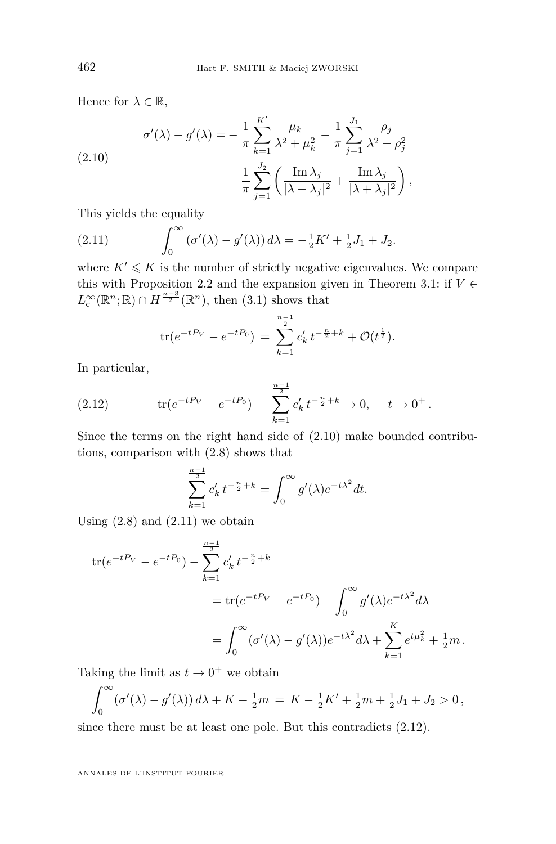$\lambda$ 

Hence for  $\lambda \in \mathbb{R}$ ,

<span id="page-8-0"></span>(2.10)  

$$
\sigma'(\lambda) - g'(\lambda) = -\frac{1}{\pi} \sum_{k=1}^{K'} \frac{\mu_k}{\lambda^2 + \mu_k^2} - \frac{1}{\pi} \sum_{j=1}^{J_1} \frac{\rho_j}{\lambda^2 + \rho_j^2} - \frac{1}{\pi} \sum_{j=1}^{J_2} \frac{\mu_k}{\lambda^2 + \mu_k^2} - \frac{1}{\pi} \sum_{j=1}^{J_1} \frac{\mu_k}{\lambda^2 + \mu_k^2} - \frac{1}{\pi} \sum_{j=1}^{J_2} \frac{\mu_k}{\lambda^2 + \mu_k^2} - \frac{1}{\pi} \sum_{j=1}^{J_1} \frac{\mu_k}{\lambda^2 + \mu_k^2}.
$$

This yields the equality

<span id="page-8-1"></span>(2.11) 
$$
\int_0^\infty (\sigma'(\lambda) - g'(\lambda)) d\lambda = -\frac{1}{2}K' + \frac{1}{2}J_1 + J_2.
$$

where  $K' \leqslant K$  is the number of strictly negative eigenvalues. We compare this with Proposition [2.2](#page-6-0) and the expansion given in Theorem [3.1:](#page-10-0) if  $V \in$  $L_{\rm c}^{\infty}(\mathbb{R}^n;\mathbb{R}) \cap H^{\frac{n-3}{2}}(\mathbb{R}^n)$ , then  $(3.1)$  shows that

$$
\text{tr}(e^{-tP_V}-e^{-tP_0}) = \sum_{k=1}^{\frac{n-1}{2}} c'_k t^{-\frac{n}{2}+k} + \mathcal{O}(t^{\frac{1}{2}}).
$$

In particular,

<span id="page-8-2"></span>(2.12) 
$$
\operatorname{tr}(e^{-tP_V} - e^{-tP_0}) - \sum_{k=1}^{\frac{n-1}{2}} c'_k t^{-\frac{n}{2}+k} \to 0, \quad t \to 0^+.
$$

Since the terms on the right hand side of [\(2.10\)](#page-8-0) make bounded contributions, comparison with [\(2.8\)](#page-6-1) shows that

$$
\sum_{k=1}^{\frac{n-1}{2}} c'_k t^{-\frac{n}{2}+k} = \int_0^\infty g'(\lambda) e^{-t\lambda^2} dt.
$$

Using  $(2.8)$  and  $(2.11)$  we obtain

$$
\begin{split} \text{tr}(e^{-tP_V} - e^{-tP_0}) - \sum_{k=1}^{\frac{n-1}{2}} c'_k t^{-\frac{n}{2} + k} \\ &= \text{tr}(e^{-tP_V} - e^{-tP_0}) - \int_0^\infty g'(\lambda) e^{-t\lambda^2} d\lambda \\ &= \int_0^\infty (\sigma'(\lambda) - g'(\lambda)) e^{-t\lambda^2} d\lambda + \sum_{k=1}^K e^{t\mu_k^2} + \frac{1}{2}m \,. \end{split}
$$

Taking the limit as  $t \to 0^+$  we obtain

$$
\int_0^\infty (\sigma'(\lambda) - g'(\lambda)) d\lambda + K + \frac{1}{2}m = K - \frac{1}{2}K' + \frac{1}{2}m + \frac{1}{2}J_1 + J_2 > 0,
$$

since there must be at least one pole. But this contradicts [\(2.12\)](#page-8-2).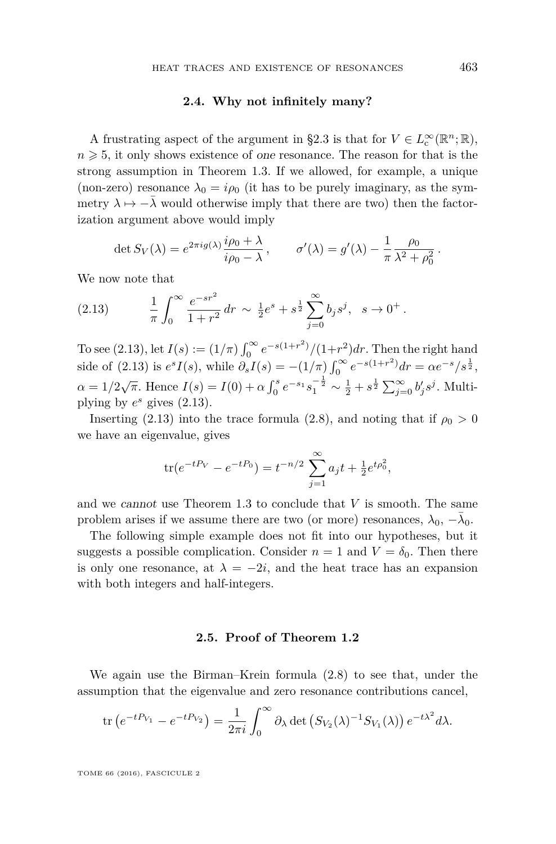#### **2.4. Why not infinitely many?**

<span id="page-9-0"></span>A frustrating aspect of the argument in [§2.3](#page-6-2) is that for  $V \in L^{\infty}_c(\mathbb{R}^n;\mathbb{R})$ ,  $n \geqslant 5$ , it only shows existence of one resonance. The reason for that is the strong assumption in Theorem [1.3.](#page-3-0) If we allowed, for example, a unique (non-zero) resonance  $\lambda_0 = i\rho_0$  (it has to be purely imaginary, as the symmetry  $\lambda \mapsto -\overline{\lambda}$  would otherwise imply that there are two) then the factorization argument above would imply

<span id="page-9-1"></span>
$$
\det S_V(\lambda) = e^{2\pi i g(\lambda)} \frac{i\rho_0 + \lambda}{i\rho_0 - \lambda}, \qquad \sigma'(\lambda) = g'(\lambda) - \frac{1}{\pi} \frac{\rho_0}{\lambda^2 + \rho_0^2}.
$$

We now note that

(2.13) 
$$
\frac{1}{\pi} \int_0^\infty \frac{e^{-sr^2}}{1+r^2} dr \sim \frac{1}{2} e^s + s^{\frac{1}{2}} \sum_{j=0}^\infty b_j s^j, \quad s \to 0^+.
$$

To see [\(2.13\)](#page-9-1), let  $I(s) := (1/\pi) \int_0^\infty e^{-s(1+r^2)}/(1+r^2) dr$ . Then the right hand 0 side of  $(2.13)$  is  $e^s I(s)$ , while  $\partial_s I(s) = -(1/\pi) \int_0^\infty e^{-s(1+r^2)} dr = \alpha e^{-s}/s^{\frac{1}{2}}$ ,  $\alpha = 1/2\sqrt{\pi}$ . Hence  $I(s) = I(0) + \alpha \int_0^s e^{-s_1} s_1^{-\frac{1}{2}} \sim \frac{1}{2} + s^{\frac{1}{2}} \sum_{j=0}^\infty b_j' s^j$ . Multiplying by  $e^s$  gives  $(2.13)$ .

Inserting [\(2.13\)](#page-9-1) into the trace formula [\(2.8\)](#page-6-1), and noting that if  $\rho_0 > 0$ we have an eigenvalue, gives

$$
\text{tr}(e^{-tP_V} - e^{-tP_0}) = t^{-n/2} \sum_{j=1}^{\infty} a_j t + \frac{1}{2} e^{t\rho_0^2},
$$

and we cannot use Theorem [1.3](#page-3-0) to conclude that *V* is smooth. The same problem arises if we assume there are two (or more) resonances,  $\lambda_0, -\overline{\lambda}_0$ .

The following simple example does not fit into our hypotheses, but it suggests a possible complication. Consider  $n = 1$  and  $V = \delta_0$ . Then there is only one resonance, at  $\lambda = -2i$ , and the heat trace has an expansion with both integers and half-integers.

#### **2.5. Proof of Theorem [1.2](#page-3-1)**

We again use the Birman–Krein formula [\(2.8\)](#page-6-1) to see that, under the assumption that the eigenvalue and zero resonance contributions cancel,

$$
\operatorname{tr}\left(e^{-tP_{V_1}}-e^{-tP_{V_2}}\right)=\frac{1}{2\pi i}\int_0^\infty \partial_\lambda \det\left(S_{V_2}(\lambda)^{-1}S_{V_1}(\lambda)\right)e^{-t\lambda^2}d\lambda.
$$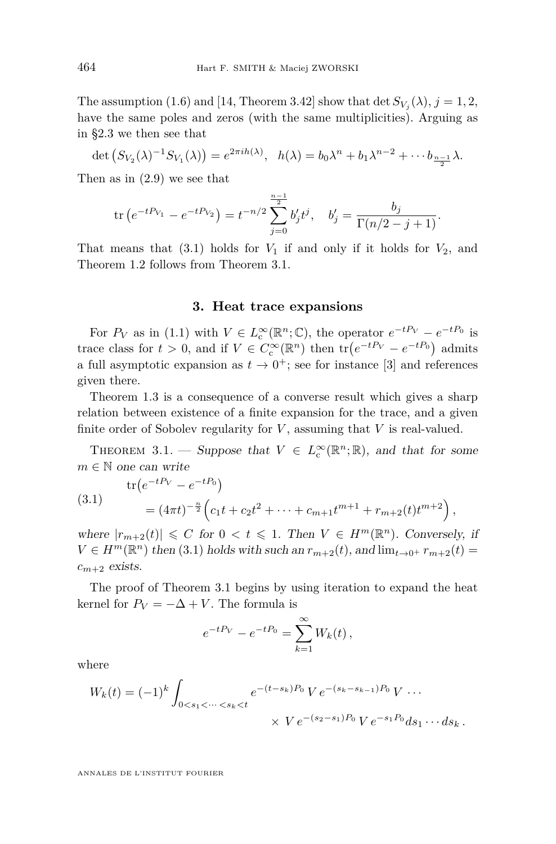The assumption [\(1.6\)](#page-3-2) and [\[14,](#page-20-0) Theorem 3.42] show that  $\det S_{V_j}(\lambda), j = 1, 2$ , have the same poles and zeros (with the same multiplicities). Arguing as in [§2.3](#page-6-2) we then see that

$$
\det\left(S_{V_2}(\lambda)^{-1}S_{V_1}(\lambda)\right)=e^{2\pi ih(\lambda)}, \quad h(\lambda)=b_0\lambda^n+b_1\lambda^{n-2}+\cdots+b_{\frac{n-1}{2}}\lambda.
$$

Then as in [\(2.9\)](#page-7-0) we see that

$$
\operatorname{tr}\left(e^{-tP_{V_1}}-e^{-tP_{V_2}}\right)=t^{-n/2}\sum_{j=0}^{\frac{n-1}{2}}b'_jt^j, \quad b'_j=\frac{b_j}{\Gamma(n/2-j+1)}.
$$

That means that  $(3.1)$  holds for  $V_1$  if and only if it holds for  $V_2$ , and Theorem [1.2](#page-3-1) follows from Theorem [3.1.](#page-10-0)

#### **3. Heat trace expansions**

<span id="page-10-1"></span>For  $P_V$  as in [\(1.1\)](#page-1-1) with  $V \in L_c^{\infty}(\mathbb{R}^n;\mathbb{C})$ , the operator  $e^{-tP_V} - e^{-tP_0}$  is trace class for  $t > 0$ , and if  $V \in C_c^{\infty}(\mathbb{R}^n)$  then  $\text{tr}(e^{-tP_V} - e^{-tP_0})$  admits a full asymptotic expansion as  $t \to 0^+$ ; see for instance [\[3\]](#page-20-13) and references given there.

Theorem [1.3](#page-3-0) is a consequence of a converse result which gives a sharp relation between existence of a finite expansion for the trace, and a given finite order of Sobolev regularity for *V* , assuming that *V* is real-valued.

<span id="page-10-0"></span>THEOREM 3.1. — Suppose that  $V \in L^{\infty}_c(\mathbb{R}^n;\mathbb{R})$ , and that for some  $m \in \mathbb{N}$  one can write

<span id="page-10-2"></span>(3.1) 
$$
\operatorname{tr}(e^{-tP_V} - e^{-tP_0}) = (4\pi t)^{-\frac{n}{2}} \left( c_1 t + c_2 t^2 + \dots + c_{m+1} t^{m+1} + r_{m+2}(t) t^{m+2} \right)
$$

where  $|r_{m+2}(t)| \leq C$  for  $0 < t \leq 1$ . Then  $V \in H^m(\mathbb{R}^n)$ . Conversely, if  $V \in H^m(\mathbb{R}^n)$  then [\(3.1\)](#page-10-2) holds with such an  $r_{m+2}(t)$ , and  $\lim_{t \to 0^+} r_{m+2}(t)$  $c_{m+2}$  exists.

*,*

The proof of Theorem [3.1](#page-10-0) begins by using iteration to expand the heat kernel for  $P_V = -\Delta + V$ . The formula is

$$
e^{-tP_V} - e^{-tP_0} = \sum_{k=1}^{\infty} W_k(t),
$$

where

$$
W_k(t) = (-1)^k \int_{0 < s_1 < \dots < s_k < t} e^{-(t - s_k)P_0} V e^{-(s_k - s_{k-1})P_0} V \dots
$$
\n
$$
\times V e^{-(s_2 - s_1)P_0} V e^{-s_1 P_0} ds_1 \dots ds_k.
$$

ANNALES DE L'INSTITUT FOURIER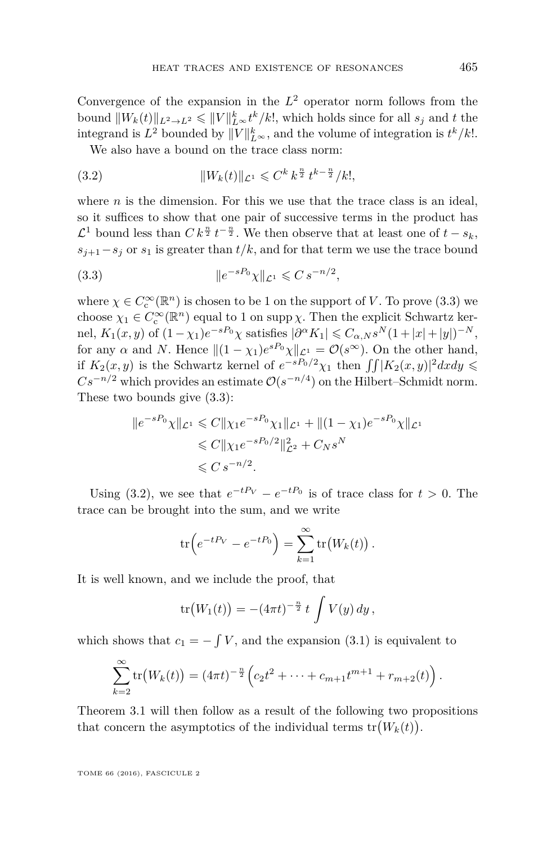Convergence of the expansion in the  $L^2$  operator norm follows from the bound  $||W_k(t)||_{L^2 \to L^2} \le ||V||_{L^{\infty}}^k t^k / k!$ , which holds since for all  $s_j$  and  $t$  the integrand is  $L^2$  bounded by  $||V||_{L^{\infty}}^k$ , and the volume of integration is  $t^k/k!$ .

<span id="page-11-1"></span>We also have a bound on the trace class norm:

(3.2) 
$$
||W_k(t)||_{\mathcal{L}^1} \leqslant C^k k^{\frac{n}{2}} t^{k - \frac{n}{2}} / k!,
$$

where *n* is the dimension. For this we use that the trace class is an ideal, so it suffices to show that one pair of successive terms in the product has  $\mathcal{L}^1$  bound less than  $C k^{\frac{n}{2}} t^{-\frac{n}{2}}$ . We then observe that at least one of  $t - s_k$ ,  $s_{j+1}-s_j$  or  $s_1$  is greater than  $t/k$ , and for that term we use the trace bound

<span id="page-11-0"></span>(3.3) 
$$
\|e^{-sP_0}\chi\|_{\mathcal{L}^1} \leqslant C s^{-n/2},
$$

where  $\chi \in C_{\rm c}^\infty({\mathbb R}^n)$  is chosen to be 1 on the support of *V*. To prove [\(3.3\)](#page-11-0) we choose  $\chi_1 \in C_c^{\infty}(\mathbb{R}^n)$  equal to 1 on supp  $\chi$ . Then the explicit Schwartz ker- $\text{nel}, K_1(x, y) \text{ of } (1 - \chi_1)e^{-sP_0}\chi \text{ satisfies } |\partial^{\alpha} K_1| \leqslant C_{\alpha, N} s^N (1 + |x| + |y|)^{-N},$ for any  $\alpha$  and *N*. Hence  $||(1 - \chi_1)e^{sP_0}\chi||_{\mathcal{L}^1} = \mathcal{O}(s^{\infty})$ . On the other hand, if  $K_2(x, y)$  is the Schwartz kernel of  $e^{-sP_0/2}\chi_1$  then  $\int \int |K_2(x, y)|^2 dx dy \le$  $Cs^{-n/2}$  which provides an estimate  $\mathcal{O}(s^{-n/4})$  on the Hilbert–Schmidt norm. These two bounds give [\(3.3\)](#page-11-0):

$$
||e^{-sP_0}\chi||_{\mathcal{L}^1} \leq C||\chi_1 e^{-sP_0}\chi_1||_{\mathcal{L}^1} + ||(1-\chi_1)e^{-sP_0}\chi||_{\mathcal{L}^1}
$$
  
\n
$$
\leq C||\chi_1 e^{-sP_0/2}||_{\mathcal{L}^2}^2 + C_N s^N
$$
  
\n
$$
\leq C s^{-n/2}.
$$

Using [\(3.2\)](#page-11-1), we see that  $e^{-tP_V} - e^{-tP_0}$  is of trace class for  $t > 0$ . The trace can be brought into the sum, and we write

$$
\operatorname{tr}\left(e^{-tP_V}-e^{-tP_0}\right)=\sum_{k=1}^{\infty}\operatorname{tr}\left(W_k(t)\right).
$$

It is well known, and we include the proof, that

$$
\text{tr}\big(W_1(t)\big) = -(4\pi t)^{-\frac{n}{2}} t \int V(y) \, dy \,,
$$

which shows that  $c_1 = -\int V$ , and the expansion [\(3.1\)](#page-10-2) is equivalent to

$$
\sum_{k=2}^{\infty} \text{tr}\big(W_k(t)\big) = (4\pi t)^{-\frac{n}{2}} \Big(c_2 t^2 + \cdots + c_{m+1} t^{m+1} + r_{m+2}(t)\Big).
$$

Theorem [3.1](#page-10-0) will then follow as a result of the following two propositions that concern the asymptotics of the individual terms  $tr(W_k(t))$ .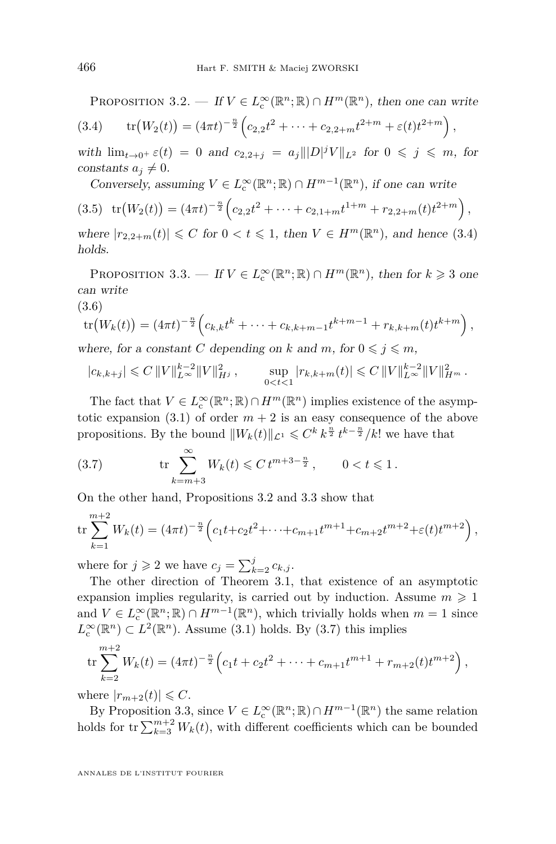<span id="page-12-1"></span><span id="page-12-0"></span>PROPOSITION 3.2. — If  $V \in L_{\mathcal{C}}^{\infty}(\mathbb{R}^n;\mathbb{R}) \cap H^m(\mathbb{R}^n)$ , then one can write

$$
(3.4) \t\t\t tr(W_2(t)) = (4\pi t)^{-\frac{n}{2}} \Big( c_{2,2}t^2 + \cdots + c_{2,2+m}t^{2+m} + \varepsilon(t)t^{2+m} \Big),
$$

with  $\lim_{t \to 0^+} \varepsilon(t) = 0$  and  $c_{2,2+j} = a_j |||D|^j V||_{L^2}$  for  $0 \leq j \leq m$ , for constants  $a_i \neq 0$ .

<span id="page-12-4"></span>Conversely, assuming  $V \in L^{\infty}_c(\mathbb{R}^n;\mathbb{R}) \cap H^{m-1}(\mathbb{R}^n)$ , if one can write

$$
(3.5) \operatorname{tr}(W_2(t)) = (4\pi t)^{-\frac{n}{2}} \left( c_{2,2}t^2 + \dots + c_{2,1+m}t^{1+m} + r_{2,2+m}(t)t^{2+m} \right),
$$

where  $|r_{2,2+m}(t)| \leq C$  for  $0 < t \leq 1$ , then  $V \in H^m(\mathbb{R}^n)$ , and hence [\(3.4\)](#page-12-0) holds.

<span id="page-12-2"></span>PROPOSITION 3.3. — If  $V \in L^{\infty}_c(\mathbb{R}^n;\mathbb{R}) \cap H^m(\mathbb{R}^n)$ , then for  $k \geq 3$  one can write

$$
(3.6)
$$

$$
\operatorname{tr}(W_k(t)) = (4\pi t)^{-\frac{n}{2}} \left( c_{k,k} t^k + \dots + c_{k,k+m-1} t^{k+m-1} + r_{k,k+m}(t) t^{k+m} \right),
$$
\nwhere for a constant C, depending on k and m, for  $0 \le i \le m$ .

where, for a constant *C* depending on *k* and *m*, for  $0 \leq j \leq m$ ,

$$
|c_{k,k+j}| \leqslant C\, \|V\|_{L^\infty}^{k-2} \|V\|_{H^j}^2 \,, \qquad \sup_{0 < t < 1} |r_{k,k+m}(t)| \leqslant C\, \|V\|_{L^\infty}^{k-2} \|V\|_{H^m}^2 \,.
$$

The fact that  $V \in L^{\infty}_c(\mathbb{R}^n;\mathbb{R}) \cap H^m(\mathbb{R}^n)$  implies existence of the asymptotic expansion  $(3.1)$  of order  $m + 2$  is an easy consequence of the above propositions. By the bound  $||W_k(t)||_{\mathcal{L}^1} \leqslant C^k k^{\frac{n}{2}} t^{k-\frac{n}{2}}/k!$  we have that

<span id="page-12-3"></span>(3.7) 
$$
\operatorname{tr} \sum_{k=m+3}^{\infty} W_k(t) \leq C t^{m+3-\frac{n}{2}}, \qquad 0 < t \leq 1.
$$

On the other hand, Propositions [3.2](#page-12-1) and [3.3](#page-12-2) show that

$$
\operatorname{tr}\sum_{k=1}^{m+2}W_k(t) = (4\pi t)^{-\frac{n}{2}} \left(c_1 t + c_2 t^2 + \dots + c_{m+1} t^{m+1} + c_{m+2} t^{m+2} + \varepsilon(t) t^{m+2}\right),
$$

where for  $j \geq 2$  we have  $c_j = \sum_{k=2}^j c_{k,j}$ .

The other direction of Theorem [3.1,](#page-10-0) that existence of an asymptotic expansion implies regularity, is carried out by induction. Assume  $m \geq 1$ and  $V \in L^{\infty}_c(\mathbb{R}^n;\mathbb{R}) \cap H^{m-1}(\mathbb{R}^n)$ , which trivially holds when  $m = 1$  since  $L_{\text{c}}^{\infty}(\mathbb{R}^n) \subset L^2(\mathbb{R}^n)$ . Assume [\(3.1\)](#page-10-2) holds. By [\(3.7\)](#page-12-3) this implies

$$
\operatorname{tr}\sum_{k=2}^{m+2}W_k(t)=(4\pi t)^{-\frac{n}{2}}\left(c_1t+c_2t^2+\cdots+c_{m+1}t^{m+1}+r_{m+2}(t)t^{m+2}\right),
$$

where  $|r_{m+2}(t)| \leq C$ .

By Proposition [3.3,](#page-12-2) since  $V \in L^{\infty}_c(\mathbb{R}^n;\mathbb{R}) \cap H^{m-1}(\mathbb{R}^n)$  the same relation holds for  $\text{tr}\sum_{k=3}^{m+2}W_k(t)$ , with different coefficients which can be bounded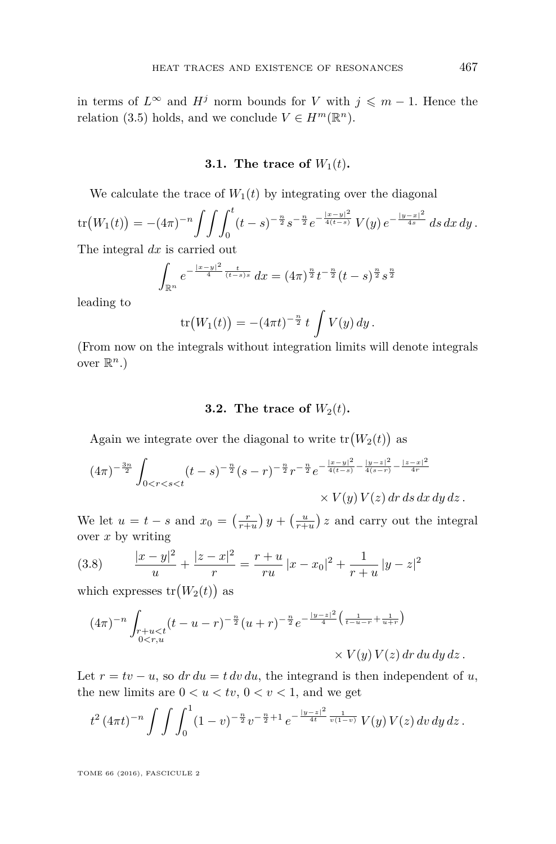in terms of  $L^\infty$  and  $H^j$  norm bounds for *V* with  $j \leq m-1$ . Hence the relation [\(3.5\)](#page-12-4) holds, and we conclude  $V \in H^m(\mathbb{R}^n)$ .

#### **3.1.** The trace of  $W_1(t)$ .

We calculate the trace of  $W_1(t)$  by integrating over the diagonal

$$
\operatorname{tr}(W_1(t)) = -(4\pi)^{-n} \int \int \int_0^t (t-s)^{-\frac{n}{2}} s^{-\frac{n}{2}} e^{-\frac{|x-y|^2}{4(t-s)}} V(y) e^{-\frac{|y-x|^2}{4s}} ds dx dy.
$$

The integral *dx* is carried out

$$
\int_{\mathbb{R}^n} e^{-\frac{|x-y|^2}{4}\frac{t}{(t-s)s}} dx = (4\pi)^{\frac{n}{2}} t^{-\frac{n}{2}} (t-s)^{\frac{n}{2}} s^{\frac{n}{2}}
$$

leading to

$$
\text{tr}(W_1(t)) = -(4\pi t)^{-\frac{n}{2}} t \int V(y) \, dy.
$$

(From now on the integrals without integration limits will denote integrals over  $\mathbb{R}^n$ .)

#### **3.2.** The trace of  $W_2(t)$ .

Again we integrate over the diagonal to write  $tr(W_2(t))$  as

$$
(4\pi)^{-\frac{3n}{2}} \int_{0 < r < s < t} (t - s)^{-\frac{n}{2}} (s - r)^{-\frac{n}{2}} r^{-\frac{n}{2}} e^{-\frac{|x - y|^2}{4(t - s)} - \frac{|y - z|^2}{4(s - r)} - \frac{|z - x|^2}{4r}} \times V(y) V(z) dr ds dx dy dz.
$$

We let  $u = t - s$  and  $x_0 = \left(\frac{r}{r+u}\right)y + \left(\frac{u}{r+u}\right)z$  and carry out the integral over *x* by writing

<span id="page-13-0"></span>(3.8) 
$$
\frac{|x-y|^2}{u} + \frac{|z-x|^2}{r} = \frac{r+u}{ru}|x-x_0|^2 + \frac{1}{r+u}|y-z|^2
$$

which expresses  $tr(W_2(t))$  as

$$
(4\pi)^{-n} \int_{\substack{r+u
$$

Let  $r = tv - u$ , so  $dr du = t dv du$ , the integrand is then independent of *u*, the new limits are  $0 < u < tv$ ,  $0 < v < 1$ , and we get

$$
t^{2} (4\pi t)^{-n} \int \int \int_{0}^{1} (1-v)^{-\frac{n}{2}} v^{-\frac{n}{2}+1} e^{-\frac{|y-z|^{2}}{4t} \frac{1}{v(1-v)}} V(y) V(z) dv dy dz.
$$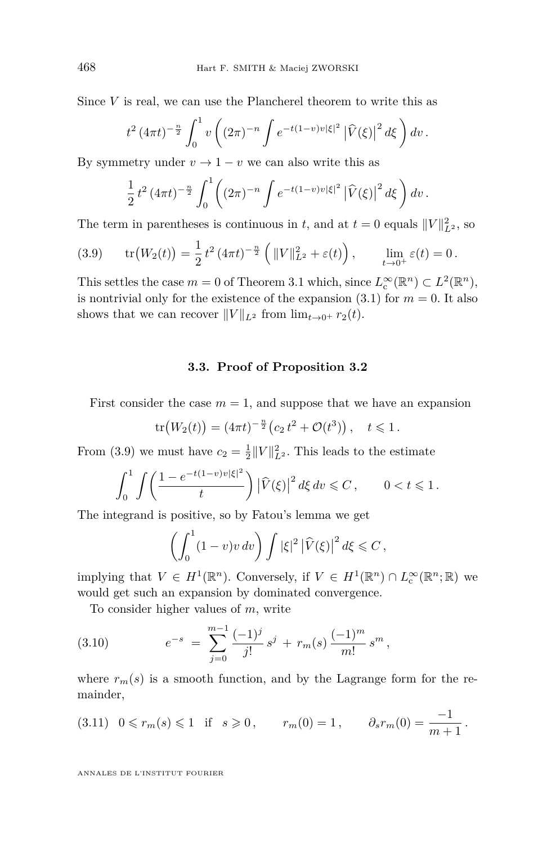Since *V* is real, we can use the Plancherel theorem to write this as

$$
t^{2} (4\pi t)^{-\frac{n}{2}} \int_{0}^{1} v \left( (2\pi)^{-n} \int e^{-t(1-v)v|\xi|^{2}} \left| \widehat{V}(\xi) \right|^{2} d\xi \right) dv.
$$

By symmetry under  $v \to 1 - v$  we can also write this as

$$
\frac{1}{2}t^2(4\pi t)^{-\frac{n}{2}}\int_0^1\left((2\pi)^{-n}\int e^{-t(1-v)v|\xi|^2}\left|\widehat{V}(\xi)\right|^2d\xi\right)dv.
$$

The term in parentheses is continuous in *t*, and at  $t = 0$  equals  $||V||_{L^2}^2$ , so

<span id="page-14-0"></span>(3.9) 
$$
\text{tr}\big(W_2(t)\big) = \frac{1}{2} t^2 (4\pi t)^{-\frac{n}{2}} \left( \|V\|_{L^2}^2 + \varepsilon(t) \right), \qquad \lim_{t \to 0^+} \varepsilon(t) = 0.
$$

This settles the case  $m = 0$  of Theorem [3.1](#page-10-0) which, since  $L_c^{\infty}(\mathbb{R}^n) \subset L^2(\mathbb{R}^n)$ , is nontrivial only for the existence of the expansion  $(3.1)$  for  $m = 0$ . It also shows that we can recover  $||V||_{L^2}$  from  $\lim_{t\to 0^+} r_2(t)$ .

#### **3.3. Proof of Proposition [3.2](#page-12-1)**

First consider the case  $m = 1$ , and suppose that we have an expansion

$$
\text{tr}\big(W_2(t)\big) = (4\pi t)^{-\frac{n}{2}} \big(c_2 t^2 + \mathcal{O}(t^3)\big), \quad t \leq 1.
$$

From [\(3.9\)](#page-14-0) we must have  $c_2 = \frac{1}{2} ||V||_{L^2}^2$ . This leads to the estimate

$$
\int_0^1 \int \left( \frac{1 - e^{-t(1-v)v|\xi|^2}}{t} \right) \left| \widehat{V}(\xi) \right|^2 d\xi dv \leq C, \qquad 0 < t \leq 1.
$$

The integrand is positive, so by Fatou's lemma we get

$$
\left(\int_0^1 (1-v)v dv\right) \int |\xi|^2 |\widehat{V}(\xi)|^2 d\xi \leq C,
$$

implying that  $V \in H^1(\mathbb{R}^n)$ . Conversely, if  $V \in H^1(\mathbb{R}^n) \cap L_c^{\infty}(\mathbb{R}^n;\mathbb{R})$  we would get such an expansion by dominated convergence.

<span id="page-14-2"></span>To consider higher values of *m*, write

(3.10) 
$$
e^{-s} = \sum_{j=0}^{m-1} \frac{(-1)^j}{j!} s^j + r_m(s) \frac{(-1)^m}{m!} s^m,
$$

where  $r_m(s)$  is a smooth function, and by the Lagrange form for the remainder,

<span id="page-14-1"></span>
$$
(3.11) \quad 0 \leq r_m(s) \leq 1 \quad \text{if} \quad s \geq 0 \,, \qquad r_m(0) = 1 \,, \qquad \partial_s r_m(0) = \frac{-1}{m+1} \,.
$$

ANNALES DE L'INSTITUT FOURIER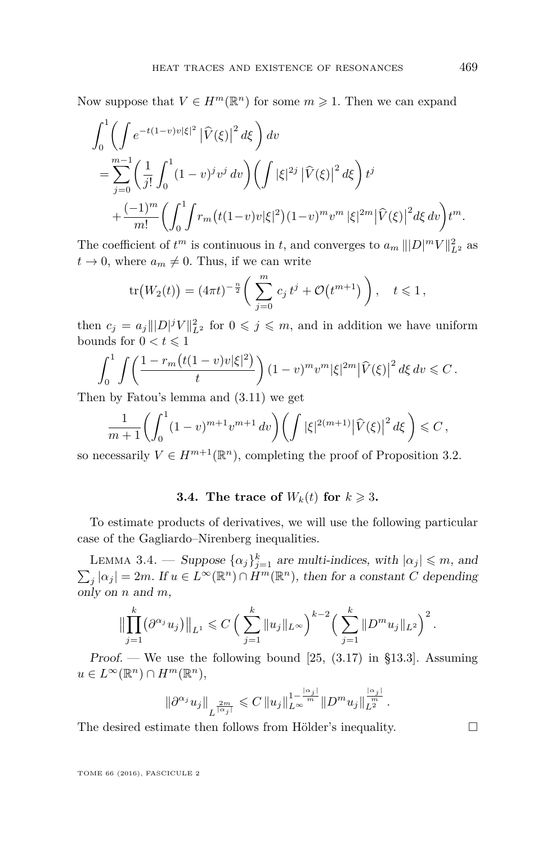Now suppose that  $V \in H^m(\mathbb{R}^n)$  for some  $m \geq 1$ . Then we can expand

$$
\int_0^1 \left( \int e^{-t(1-v)v|\xi|^2} |\widehat{V}(\xi)|^2 d\xi \right) dv
$$
  
= 
$$
\sum_{j=0}^{m-1} \left( \frac{1}{j!} \int_0^1 (1-v)^j v^j dv \right) \left( \int |\xi|^{2j} |\widehat{V}(\xi)|^2 d\xi \right) t^j
$$
  
+ 
$$
\frac{(-1)^m}{m!} \left( \int_0^1 \int r_m \big( t(1-v) v |\xi|^2 \big) (1-v)^m v^m |\xi|^{2m} |\widehat{V}(\xi)|^2 d\xi dv \right) t^m.
$$

The coefficient of  $t^m$  is continuous in  $t$ , and converges to  $a_m ||D|^m V||_{L^2}^2$  as  $t \to 0$ , where  $a_m \neq 0$ . Thus, if we can write

$$
\text{tr}\big(W_2(t)\big) = (4\pi t)^{-\frac{n}{2}} \bigg(\sum_{j=0}^m c_j t^j + \mathcal{O}\big(t^{m+1}\big)\bigg), \quad t \leq 1,
$$

then  $c_j = a_j |||D|^j V||_{L^2}^2$  for  $0 \leqslant j \leqslant m$ , and in addition we have uniform bounds for  $0 < t \leq 1$ 

$$
\int_0^1 \int \left( \frac{1 - r_m \big( t(1-v)v|\xi|^2 \big)}{t} \right) (1-v)^m v^m |\xi|^{2m} \left| \widehat{V}(\xi) \right|^2 d\xi dv \leq C.
$$

Then by Fatou's lemma and [\(3.11\)](#page-14-1) we get

$$
\frac{1}{m+1}\bigg(\int_0^1 (1-v)^{m+1}v^{m+1} dv\bigg) \bigg(\int |\xi|^{2(m+1)} |\widehat{V}(\xi)|^2 d\xi\bigg) \leq C,
$$

so necessarily  $V \in H^{m+1}(\mathbb{R}^n)$ , completing the proof of Proposition [3.2.](#page-12-1)

#### **3.4.** The trace of  $W_k(t)$  for  $k \geq 3$ .

To estimate products of derivatives, we will use the following particular case of the Gagliardo–Nirenberg inequalities.

<span id="page-15-0"></span>LEMMA 3.4. — Suppose  $\{\alpha_j\}_{j=1}^k$  are multi-indices, with  $|\alpha_j| \leq m$ , and  $\sum_{j} |\alpha_j| = 2m$ . If  $u \in L^{\infty}(\mathbb{R}^n) \cap H^m(\mathbb{R}^n)$ , then for a constant *C* depending only on *n* and *m*,

$$
\left\|\prod_{j=1}^k(\partial^{\alpha_j}u_j)\right\|_{L^1}\leqslant C\left(\left(\sum_{j=1}^k\|u_j\|_{L^\infty}\right)^{k-2}\left(\left(\sum_{j=1}^k\|D^m u_j\|_{L^2}\right)^2\right).
$$

Proof. — We use the following bound  $[25, (3.17)$  $[25, (3.17)$  in §13.3. Assuming  $u \in L^{\infty}(\mathbb{R}^n) \cap H^m(\mathbb{R}^n),$ 

$$
\|\partial^{\alpha_j} u_j\|_{L^{\frac{2m}{|\alpha_j|}}} \leqslant C \|u_j\|_{L^\infty}^{1-\frac{|\alpha_j|}{m}} \|D^m u_j\|_{L^{\frac{2m}{n}}}^{\frac{|\alpha_j|}{m}}.
$$

The desired estimate then follows from Hölder's inequality.  $\Box$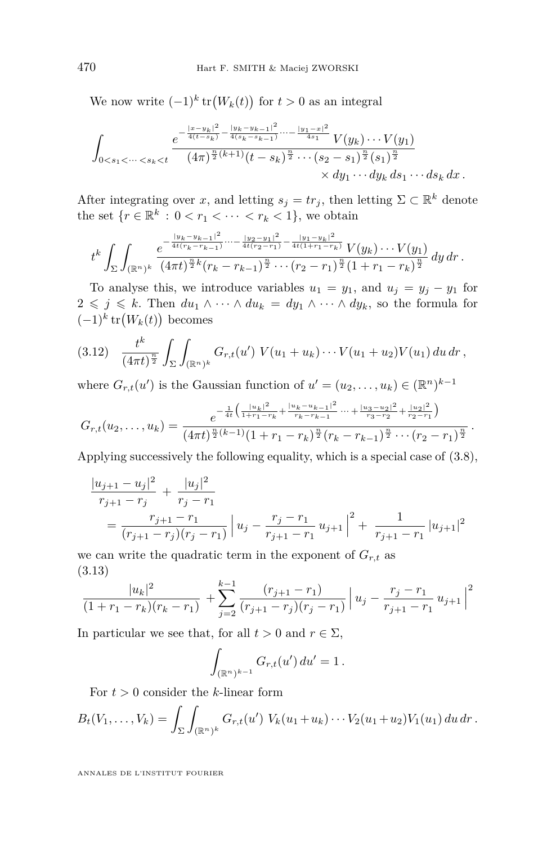We now write  $(-1)^k \text{tr}(W_k(t))$  for  $t > 0$  as an integral

$$
\int_{0 < s_1 < \dots < s_k < t} \frac{e^{-\frac{|x - y_k|^2}{4(s_k - s_{k-1})} - \frac{|y_k - y_{k-1}|^2}{4(s_k - s_{k-1})} \dots - \frac{|y_1 - x|^2}{4s_1}} V(y_k) \dots V(y_1)}{(4\pi)^{\frac{n}{2}(k+1)} (t - s_k)^{\frac{n}{2}} \dots (s_2 - s_1)^{\frac{n}{2}} (s_1)^{\frac{n}{2}}}{\times dy_1 \dots dy_k ds_1 \dots ds_k dx}.
$$

After integrating over *x*, and letting  $s_j = tr_j$ , then letting  $\Sigma \subset \mathbb{R}^k$  denote the set  $\{r \in \mathbb{R}^k : 0 < r_1 < \cdots < r_k < 1\}$ , we obtain

$$
t^k \int_{\Sigma} \int_{(\mathbb{R}^n)^k} \frac{e^{-\frac{|y_k-y_{k-1}|^2}{4t(r_k-r_{k-1})}\cdots-\frac{|y_2-y_1|^2}{4t(r_2-r_1)}-\frac{|y_1-y_k|^2}{4t(1+r_1-r_k)}}V(y_k)\cdots V(y_1)}{(4\pi t)^{\frac{n}{2}k}(r_k-r_{k-1})^{\frac{n}{2}}\cdots(r_2-r_1)^{\frac{n}{2}}(1+r_1-r_k)^{\frac{n}{2}}} dy dr.
$$

To analyse this, we introduce variables  $u_1 = y_1$ , and  $u_j = y_j - y_1$  for 2 ≤ *j* ≤ *k*. Then  $du_1 \wedge \cdots \wedge du_k = dy_1 \wedge \cdots \wedge dy_k$ , so the formula for  $(-1)^k \text{tr}(W_k(t))$  becomes

<span id="page-16-1"></span>
$$
(3.12) \quad \frac{t^k}{(4\pi t)^{\frac{n}{2}}} \int_{\Sigma} \int_{(\mathbb{R}^n)^k} G_{r,t}(u') \ V(u_1+u_k) \cdots V(u_1+u_2) V(u_1) \, du \, dr \, ,
$$

where  $G_{r,t}(u')$  is the Gaussian function of  $u' = (u_2, \ldots, u_k) \in (\mathbb{R}^n)^{k-1}$ 

$$
G_{r,t}(u_2,\ldots,u_k)=\frac{e^{-\frac{1}{4t}\left(\frac{|u_k|^2}{1+r_1-r_k}+\frac{|u_k-u_{k-1}|^2}{r_k-r_{k-1}}\cdots+\frac{|u_3-u_2|^2}{r_3-r_2}+\frac{|u_2|^2}{r_2-r_1}\right)}}{(4\pi t)^{\frac{n}{2}(k-1)}(1+r_1-r_k)^{\frac{n}{2}}(r_k-r_{k-1})^{\frac{n}{2}}\cdots(r_2-r_1)^{\frac{n}{2}}}.
$$

Applying successively the following equality, which is a special case of [\(3.8\)](#page-13-0),

$$
\frac{|u_{j+1} - u_j|^2}{r_{j+1} - r_j} + \frac{|u_j|^2}{r_j - r_1}
$$
  
= 
$$
\frac{r_{j+1} - r_1}{(r_{j+1} - r_j)(r_j - r_1)} \left| u_j - \frac{r_j - r_1}{r_{j+1} - r_1} u_{j+1} \right|^2 + \frac{1}{r_{j+1} - r_1} |u_{j+1}|^2
$$

we can write the quadratic term in the exponent of  $G_{r,t}$  as (3.13)

<span id="page-16-0"></span>
$$
\frac{|u_k|^2}{(1+r_1-r_k)(r_k-r_1)} + \sum_{j=2}^{k-1} \frac{(r_{j+1}-r_1)}{(r_{j+1}-r_j)(r_j-r_1)} |u_j - \frac{r_j-r_1}{r_{j+1}-r_1}u_{j+1}|^2
$$

In particular we see that, for all  $t > 0$  and  $r \in \Sigma$ ,

$$
\int_{(\mathbb{R}^n)^{k-1}} G_{r,t}(u') du' = 1.
$$

For  $t > 0$  consider the *k*-linear form

$$
B_t(V_1,\ldots,V_k)=\int_{\Sigma}\int_{(\mathbb{R}^n)^k}G_{r,t}(u')\ V_k(u_1+u_k)\cdots V_2(u_1+u_2)V_1(u_1)\ du\ dr\ .
$$

ANNALES DE L'INSTITUT FOURIER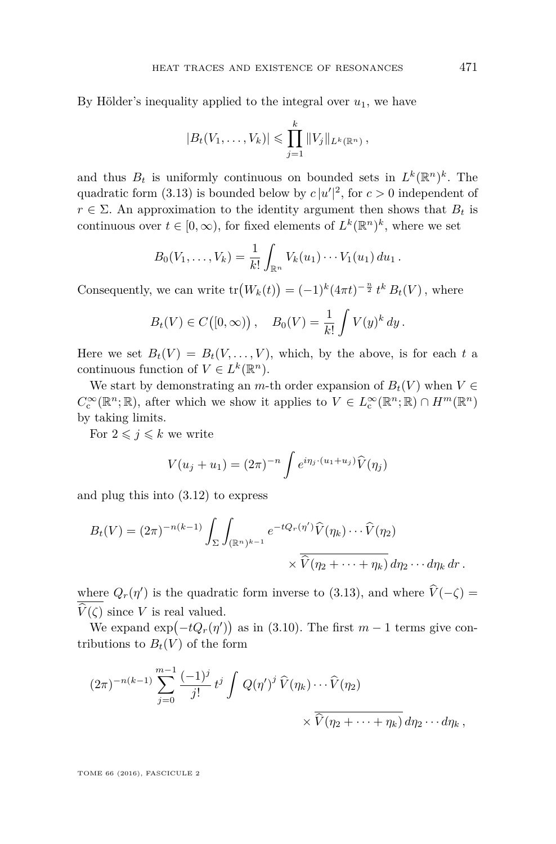By Hölder's inequality applied to the integral over  $u_1$ , we have

$$
|B_t(V_1,\ldots,V_k)| \leq \prod_{j=1}^k ||V_j||_{L^k(\mathbb{R}^n)},
$$

and thus  $B_t$  is uniformly continuous on bounded sets in  $L^k(\mathbb{R}^n)^k$ . The quadratic form [\(3.13\)](#page-16-0) is bounded below by  $c |u'|^2$ , for  $c > 0$  independent of  $r \in \Sigma$ . An approximation to the identity argument then shows that  $B_t$  is continuous over  $t \in [0, \infty)$ , for fixed elements of  $L^k(\mathbb{R}^n)^k$ , where we set

$$
B_0(V_1,\ldots,V_k)=\frac{1}{k!}\int_{\mathbb{R}^n}V_k(u_1)\cdots V_1(u_1)\,du_1\,.
$$

Consequently, we can write  $tr(W_k(t)) = (-1)^k (4\pi t)^{-\frac{n}{2}} t^k B_t(V)$ , where

$$
B_t(V) \in C([0,\infty)), \quad B_0(V) = \frac{1}{k!} \int V(y)^k dy.
$$

Here we set  $B_t(V) = B_t(V, \ldots, V)$ , which, by the above, is for each t a continuous function of  $V \in L^k(\mathbb{R}^n)$ .

We start by demonstrating an *m*-th order expansion of  $B_t(V)$  when  $V \in$  $C_c^{\infty}(\mathbb{R}^n;\mathbb{R})$ , after which we show it applies to  $V \in L_c^{\infty}(\mathbb{R}^n;\mathbb{R}) \cap H^m(\mathbb{R}^n)$ by taking limits.

For  $2 \leqslant j \leqslant k$  we write

$$
V(u_j + u_1) = (2\pi)^{-n} \int e^{i\eta_j \cdot (u_1 + u_j)} \widehat{V}(\eta_j)
$$

and plug this into [\(3.12\)](#page-16-1) to express

$$
B_t(V) = (2\pi)^{-n(k-1)} \int_{\Sigma} \int_{(\mathbb{R}^n)^{k-1}} e^{-tQ_r(\eta')} \widehat{V}(\eta_k) \cdots \widehat{V}(\eta_2)
$$

$$
\times \overline{\widehat{V}(\eta_2 + \cdots + \eta_k)} d\eta_2 \cdots d\eta_k dr.
$$

where  $Q_r(\eta')$  is the quadratic form inverse to [\(3.13\)](#page-16-0), and where  $\hat{V}(-\zeta) = \overline{\zeta(\zeta)}$  $\hat{V}(\zeta)$  since *V* is real valued.

We expand  $\exp(-tQ_r(\eta'))$  as in [\(3.10\)](#page-14-2). The first  $m-1$  terms give contributions to  $B_t(V)$  of the form

$$
(2\pi)^{-n(k-1)}\sum_{j=0}^{m-1}\frac{(-1)^j}{j!}t^j\int Q(\eta')^j\,\widehat{V}(\eta_k)\cdots\widehat{V}(\eta_2) \times \overline{\widehat{V}(\eta_2+\cdots+\eta_k)}\,d\eta_2\cdots d\eta_k,
$$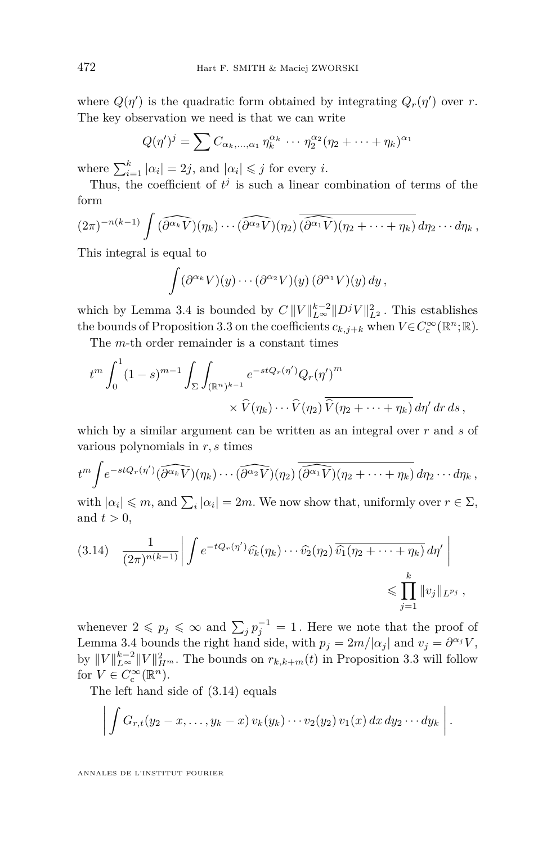where  $Q(\eta')$  is the quadratic form obtained by integrating  $Q_r(\eta')$  over *r*. The key observation we need is that we can write

$$
Q(\eta')^j = \sum C_{\alpha_k,\dots,\alpha_1} \eta_k^{\alpha_k} \cdots \eta_2^{\alpha_2} (\eta_2 + \dots + \eta_k)^{\alpha_1}
$$

where  $\sum_{i=1}^{k} |\alpha_i| = 2j$ , and  $|\alpha_i| \leq j$  for every *i*.

Thus, the coefficient of  $t^j$  is such a linear combination of terms of the form

$$
(2\pi)^{-n(k-1)}\int (\widehat{\partial^{\alpha_k}V})(\eta_k)\cdots(\widehat{\partial^{\alpha_2}V})(\eta_2)\overline{\widehat{(\partial^{\alpha_1}V)}(\eta_2+\cdots+\eta_k)}\,d\eta_2\cdots d\eta_k,
$$

This integral is equal to

$$
\int (\partial^{\alpha_k} V)(y) \cdots (\partial^{\alpha_2} V)(y) (\partial^{\alpha_1} V)(y) dy,
$$

which by Lemma [3.4](#page-15-0) is bounded by  $C \frac{||V||_{L^{\infty}}^{k-2} ||D^j V||_{L^2}^2}{L^2}$ . This establishes the bounds of Proposition [3.3](#page-12-2) on the coefficients  $c_{k,j+k}$  when  $V \in C_c^{\infty}(\mathbb{R}^n;\mathbb{R})$ .

The *m*-th order remainder is a constant times

$$
t^m \int_0^1 (1-s)^{m-1} \int_{\Sigma} \int_{(\mathbb{R}^n)^{k-1}} e^{-stQ_r(\eta')} Q_r(\eta')^m
$$
  
 
$$
\times \widehat{V}(\eta_k) \cdots \widehat{V}(\eta_2) \overline{\widehat{V}(\eta_2 + \cdots + \eta_k)} d\eta' d\tau ds,
$$

which by a similar argument can be written as an integral over *r* and *s* of various polynomials in *r, s* times

$$
t^m \int e^{-stQ_r(\eta')} (\widehat{\partial^{\alpha_k} V})(\eta_k) \cdots (\widehat{\partial^{\alpha_2} V})(\eta_2) \overline{(\widehat{\partial^{\alpha_1} V})(\eta_2 + \cdots + \eta_k)} d\eta_2 \cdots d\eta_k,
$$

with  $| \alpha_i | \leq m$ , and  $\sum_i | \alpha_i | = 2m$ . We now show that, uniformly over  $r \in \Sigma$ , and  $t > 0$ ,

<span id="page-18-0"></span>
$$
(3.14) \quad \frac{1}{(2\pi)^{n(k-1)}} \bigg| \int e^{-tQ_r(\eta')} \widehat{v_k}(\eta_k) \cdots \widehat{v_2}(\eta_2) \overline{\widehat{v_1}(\eta_2 + \cdots + \eta_k)} d\eta' \bigg| \leq \prod_{j=1}^k \|v_j\|_{L^{p_j}},
$$

whenever  $2 \leqslant p_j \leqslant \infty$  and  $\sum_j p_j^{-1} = 1$ . Here we note that the proof of Lemma [3.4](#page-15-0) bounds the right hand side, with  $p_j = 2m/|\alpha_j|$  and  $v_j = \partial^{\alpha_j} V$ , by  $||V||_{L^{\infty}}^{k-2}||V||_{H^m}^2$ . The bounds on  $r_{k,k+m}(t)$  in Proposition [3.3](#page-12-2) will follow for  $V \in C_c^{\infty}(\mathbb{R}^n)$ .

The left hand side of [\(3.14\)](#page-18-0) equals

$$
\bigg|\int G_{r,t}(y_2-x,\ldots,y_k-x)\,v_k(y_k)\cdots v_2(y_2)\,v_1(x)\,dx\,dy_2\cdots dy_k\bigg|.
$$

ANNALES DE L'INSTITUT FOURIER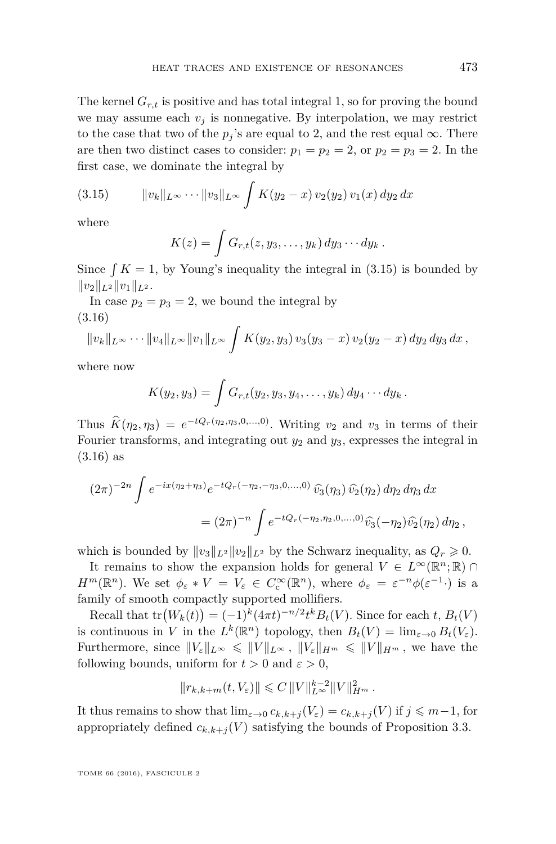The kernel  $G_{r,t}$  is positive and has total integral 1, so for proving the bound we may assume each  $v_i$  is nonnegative. By interpolation, we may restrict to the case that two of the  $p_j$ 's are equal to 2, and the rest equal  $\infty$ . There are then two distinct cases to consider:  $p_1 = p_2 = 2$ , or  $p_2 = p_3 = 2$ . In the first case, we dominate the integral by

$$
(3.15) \t\t ||v_k||_{L^{\infty}} \cdots ||v_3||_{L^{\infty}} \int K(y_2 - x) v_2(y_2) v_1(x) dy_2 dx
$$

where

<span id="page-19-0"></span>
$$
K(z) = \int G_{r,t}(z,y_3,\ldots,y_k) dy_3\cdots dy_k.
$$

Since  $\int K = 1$ , by Young's inequality the integral in [\(3.15\)](#page-19-0) is bounded by  $||v_2||_{L^2} ||v_1||_{L^2}$ .

In case  $p_2 = p_3 = 2$ , we bound the integral by (3.16)

<span id="page-19-1"></span>
$$
||v_k||_{L^{\infty}} \cdots ||v_4||_{L^{\infty}} ||v_1||_{L^{\infty}} \int K(y_2, y_3) v_3(y_3 - x) v_2(y_2 - x) dy_2 dy_3 dx,
$$

where now

$$
K(y_2, y_3) = \int G_{r,t}(y_2, y_3, y_4, \ldots, y_k) dy_4 \cdots dy_k.
$$

Thus  $\hat{K}(\eta_2, \eta_3) = e^{-tQ_r(\eta_2, \eta_3, 0, \dots, 0)}$ . Writing *v*<sub>2</sub> and *v*<sub>3</sub> in terms of their Fourier transforms, and integrating out  $y_2$  and  $y_3$ , expresses the integral in [\(3.16\)](#page-19-1) as

$$
(2\pi)^{-2n} \int e^{-ix(\eta_2 + \eta_3)} e^{-tQ_r(-\eta_2, -\eta_3, 0, \dots, 0)} \widehat{\nu_3}(\eta_3) \widehat{\nu_2}(\eta_2) d\eta_2 d\eta_3 dx
$$
  
= 
$$
(2\pi)^{-n} \int e^{-tQ_r(-\eta_2, \eta_2, 0, \dots, 0)} \widehat{\nu_3}(-\eta_2) \widehat{\nu_2}(\eta_2) d\eta_2,
$$

which is bounded by  $||v_3||_{L^2}||v_2||_{L^2}$  by the Schwarz inequality, as  $Q_r \geq 0$ .

It remains to show the expansion holds for general  $V \in L^{\infty}(\mathbb{R}^n;\mathbb{R})$ *H*<sup>*m*</sup>( $\mathbb{R}^n$ ). We set  $\phi_{\varepsilon} * V = V_{\varepsilon} \in C_{\varepsilon}^{\infty}(\mathbb{R}^n)$ , where  $\phi_{\varepsilon} = \varepsilon^{-n} \phi(\varepsilon^{-1})$  is a family of smooth compactly supported mollifiers.

Recall that  $tr(W_k(t)) = (-1)^k (4\pi t)^{-n/2} t^k B_t(V)$ . Since for each *t*,  $B_t(V)$ is continuous in *V* in the  $L^k(\mathbb{R}^n)$  topology, then  $B_t(V) = \lim_{\varepsilon \to 0} B_t(V_{\varepsilon})$ . Furthermore, since  $||V_{\varepsilon}||_{L^{\infty}} \le ||V||_{L^{\infty}}, ||V_{\varepsilon}||_{H^m} \le ||V||_{H^m}$ , we have the following bounds, uniform for  $t > 0$  and  $\varepsilon > 0$ ,

$$
||r_{k,k+m}(t, V_{\varepsilon})|| \leq C ||V||_{L^{\infty}}^{k-2} ||V||_{H^m}^2.
$$

It thus remains to show that  $\lim_{\varepsilon \to 0} c_{k,k+j}(V_{\varepsilon}) = c_{k,k+j}(V)$  if  $j \leq m-1$ , for appropriately defined  $c_{k,k+j}(V)$  satisfying the bounds of Proposition [3.3.](#page-12-2)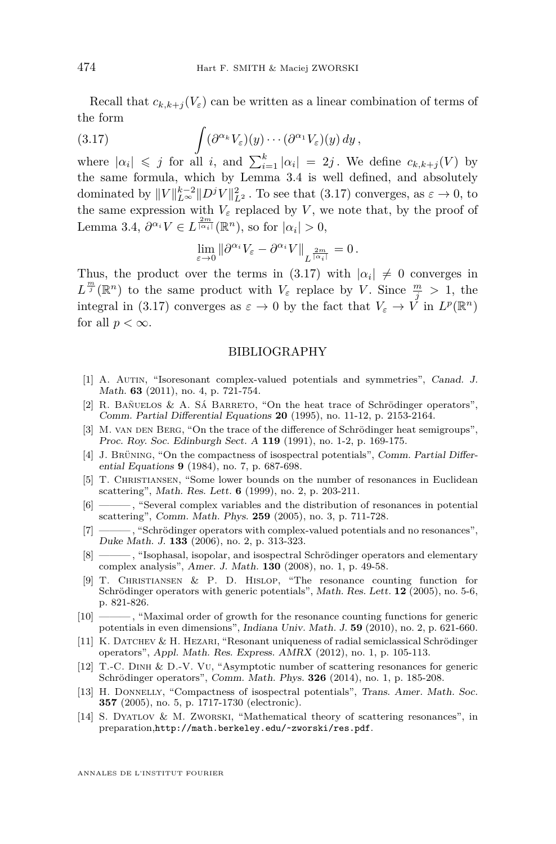Recall that  $c_{k,k+1}(V_{\varepsilon})$  can be written as a linear combination of terms of the form

(3.17) 
$$
\int (\partial^{\alpha_k} V_{\varepsilon})(y) \cdots (\partial^{\alpha_1} V_{\varepsilon})(y) dy,
$$

where  $|a_i| \leq j$  for all *i*, and  $\sum_{i=1}^k |a_i| = 2j$ . We define  $c_{k,k+j}(V)$  by the same formula, which by Lemma [3.4](#page-15-0) is well defined, and absolutely dominated by  $||V||_{L^{\infty}}^{k-2}||D^jV||_{L^2}^2$ . To see that [\(3.17\)](#page-20-14) converges, as  $\varepsilon \to 0$ , to the same expression with  $V_{\varepsilon}$  replaced by *V*, we note that, by the proof of Lemma [3.4,](#page-15-0)  $\partial^{\alpha_i} V \in L^{\frac{2m}{|\alpha_i|}}(\mathbb{R}^n)$ , so for  $|\alpha_i| > 0$ ,

<span id="page-20-14"></span>
$$
\lim_{\varepsilon \to 0} \|\partial^{\alpha_i} V_{\varepsilon} - \partial^{\alpha_i} V\|_{L^{\frac{2m}{|\alpha_i|}}} = 0.
$$

Thus, the product over the terms in [\(3.17\)](#page-20-14) with  $|\alpha_i| \neq 0$  converges in  $L^{\frac{m}{j}}(\mathbb{R}^n)$  to the same product with  $V_{\varepsilon}$  replace by *V*. Since  $\frac{m}{j} > 1$ , the integral in [\(3.17\)](#page-20-14) converges as  $\varepsilon \to 0$  by the fact that  $V_{\varepsilon} \to V$  in  $L^p(\mathbb{R}^n)$ for all  $p < \infty$ .

#### BIBLIOGRAPHY

- <span id="page-20-6"></span>[1] A. Autin, "Isoresonant complex-valued potentials and symmetries", Canad. J. Math. **63** (2011), no. 4, p. 721-754.
- <span id="page-20-9"></span>[2] R. Bañuelos & A. Sá Barreto, "On the heat trace of Schrödinger operators", Comm. Partial Differential Equations **20** (1995), no. 11-12, p. 2153-2164.
- <span id="page-20-13"></span>[3] M. VAN DEN BERG, "On the trace of the difference of Schrödinger heat semigroups", Proc. Roy. Soc. Edinburgh Sect. A **119** (1991), no. 1-2, p. 169-175.
- <span id="page-20-11"></span>[4] J. Brüning, "On the compactness of isospectral potentials", Comm. Partial Differential Equations **9** (1984), no. 7, p. 687-698.
- <span id="page-20-2"></span>[5] T. CHRISTIANSEN, "Some lower bounds on the number of resonances in Euclidean scattering", Math. Res. Lett. **6** (1999), no. 2, p. 203-211.
- <span id="page-20-3"></span>[6] ——— , "Several complex variables and the distribution of resonances in potential scattering", Comm. Math. Phys. **259** (2005), no. 3, p. 711-728.
- <span id="page-20-10"></span>[7] ——— , "Schrödinger operators with complex-valued potentials and no resonances", Duke Math. J. **133** (2006), no. 2, p. 313-323.
- <span id="page-20-7"></span>[8] ——— , "Isophasal, isopolar, and isospectral Schrödinger operators and elementary complex analysis", Amer. J. Math. **130** (2008), no. 1, p. 49-58.
- <span id="page-20-4"></span>[9] T. Christiansen & P. D. Hislop, "The resonance counting function for Schrödinger operators with generic potentials", Math. Res. Lett. **12** (2005), no. 5-6, p. 821-826.
- <span id="page-20-1"></span>[10] ——— , "Maximal order of growth for the resonance counting functions for generic potentials in even dimensions", Indiana Univ. Math. J. **59** (2010), no. 2, p. 621-660.
- <span id="page-20-8"></span>[11] K. DATCHEV & H. HEZARI, "Resonant uniqueness of radial semiclassical Schrödinger operators", Appl. Math. Res. Express. AMRX (2012), no. 1, p. 105-113.
- <span id="page-20-5"></span>[12] T.-C. Dinh & D.-V. Vu, "Asymptotic number of scattering resonances for generic Schrödinger operators", Comm. Math. Phys. **326** (2014), no. 1, p. 185-208.
- <span id="page-20-12"></span>[13] H. DONNELLY, "Compactness of isospectral potentials", Trans. Amer. Math. Soc. **357** (2005), no. 5, p. 1717-1730 (electronic).
- <span id="page-20-0"></span>[14] S. Dyatlov & M. Zworski, "Mathematical theory of scattering resonances", in preparation,<http://math.berkeley.edu/~zworski/res.pdf>.